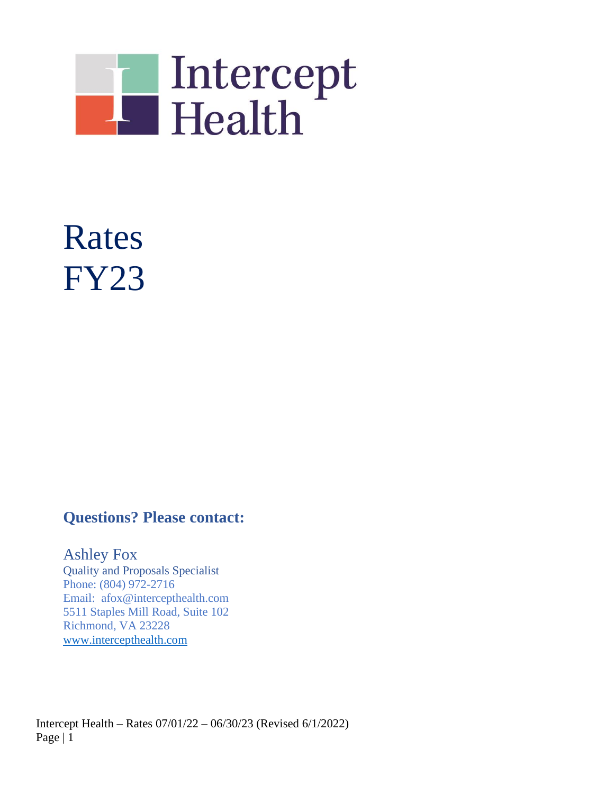

# Rates FY23

# **Questions? Please contact:**

Ashley Fox Quality and Proposals Specialist Phone: (804) 972-2716 Email: afox@intercepthealth.com 5511 Staples Mill Road, Suite 102 Richmond, VA 23228 [www.intercepthealth.com](http://www.intercepthealth.com/)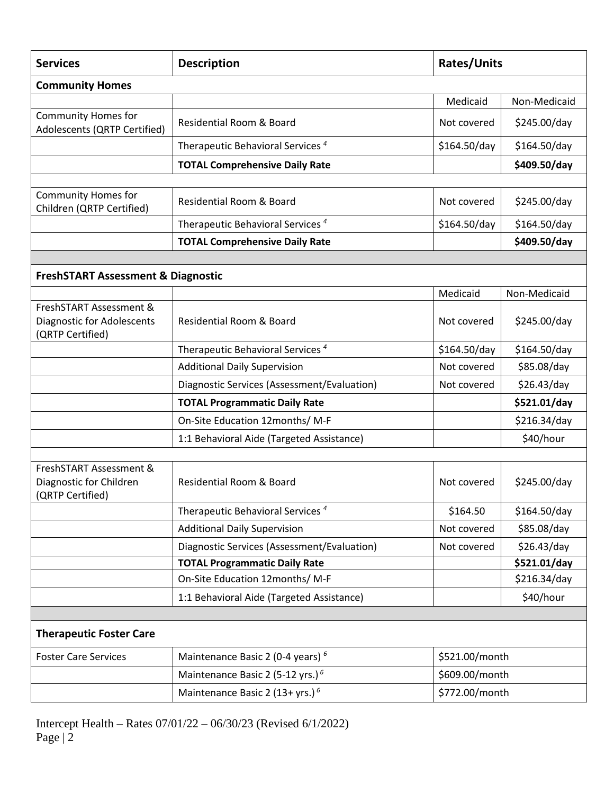| <b>Services</b>                                                                  | <b>Description</b>                           | <b>Rates/Units</b> |              |  |  |  |  |
|----------------------------------------------------------------------------------|----------------------------------------------|--------------------|--------------|--|--|--|--|
| <b>Community Homes</b>                                                           |                                              |                    |              |  |  |  |  |
|                                                                                  |                                              | Medicaid           | Non-Medicaid |  |  |  |  |
| <b>Community Homes for</b><br>Adolescents (QRTP Certified)                       | <b>Residential Room &amp; Board</b>          | Not covered        | \$245.00/day |  |  |  |  |
|                                                                                  | Therapeutic Behavioral Services <sup>4</sup> | \$164.50/day       | \$164.50/day |  |  |  |  |
|                                                                                  | <b>TOTAL Comprehensive Daily Rate</b>        |                    | \$409.50/day |  |  |  |  |
|                                                                                  |                                              |                    |              |  |  |  |  |
| <b>Community Homes for</b><br>Children (QRTP Certified)                          | <b>Residential Room &amp; Board</b>          | Not covered        | \$245.00/day |  |  |  |  |
|                                                                                  | Therapeutic Behavioral Services <sup>4</sup> | \$164.50/day       | \$164.50/day |  |  |  |  |
|                                                                                  | <b>TOTAL Comprehensive Daily Rate</b>        |                    | \$409.50/day |  |  |  |  |
|                                                                                  |                                              |                    |              |  |  |  |  |
| <b>FreshSTART Assessment &amp; Diagnostic</b>                                    |                                              |                    |              |  |  |  |  |
|                                                                                  |                                              | Medicaid           | Non-Medicaid |  |  |  |  |
| FreshSTART Assessment &<br><b>Diagnostic for Adolescents</b><br>(QRTP Certified) | Residential Room & Board                     | Not covered        | \$245.00/day |  |  |  |  |
|                                                                                  | Therapeutic Behavioral Services <sup>4</sup> | \$164.50/day       | \$164.50/day |  |  |  |  |
|                                                                                  | <b>Additional Daily Supervision</b>          | Not covered        | \$85.08/day  |  |  |  |  |
|                                                                                  | Diagnostic Services (Assessment/Evaluation)  | Not covered        | \$26.43/day  |  |  |  |  |
|                                                                                  | <b>TOTAL Programmatic Daily Rate</b>         |                    | \$521.01/day |  |  |  |  |
|                                                                                  | On-Site Education 12months/ M-F              |                    | \$216.34/day |  |  |  |  |
|                                                                                  | 1:1 Behavioral Aide (Targeted Assistance)    |                    | \$40/hour    |  |  |  |  |
|                                                                                  |                                              |                    |              |  |  |  |  |
| FreshSTART Assessment &<br>Diagnostic for Children<br>(QRTP Certified)           | <b>Residential Room &amp; Board</b>          | Not covered        | \$245.00/day |  |  |  |  |
|                                                                                  | Therapeutic Behavioral Services <sup>4</sup> | \$164.50           | \$164.50/day |  |  |  |  |
|                                                                                  | <b>Additional Daily Supervision</b>          | Not covered        | \$85.08/day  |  |  |  |  |
|                                                                                  | Diagnostic Services (Assessment/Evaluation)  | Not covered        | \$26.43/day  |  |  |  |  |
|                                                                                  | <b>TOTAL Programmatic Daily Rate</b>         |                    | \$521.01/day |  |  |  |  |
|                                                                                  | On-Site Education 12months/ M-F              |                    | \$216.34/day |  |  |  |  |
|                                                                                  | 1:1 Behavioral Aide (Targeted Assistance)    |                    | \$40/hour    |  |  |  |  |
|                                                                                  |                                              |                    |              |  |  |  |  |
| <b>Therapeutic Foster Care</b>                                                   |                                              |                    |              |  |  |  |  |
| <b>Foster Care Services</b>                                                      | Maintenance Basic 2 (0-4 years) <sup>6</sup> | \$521.00/month     |              |  |  |  |  |
|                                                                                  | Maintenance Basic 2 (5-12 yrs.) <sup>6</sup> | \$609.00/month     |              |  |  |  |  |
|                                                                                  | Maintenance Basic 2 (13+ yrs.) $^6$          | \$772.00/month     |              |  |  |  |  |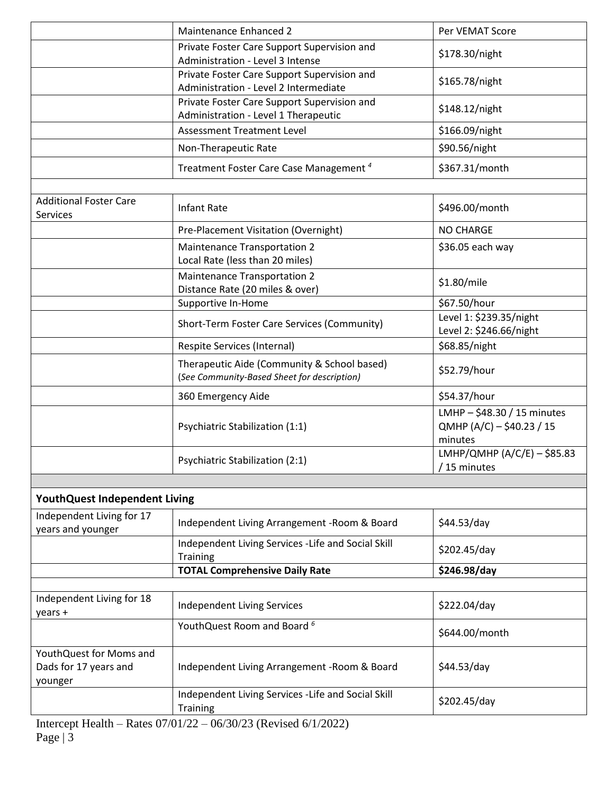|                                                             | Maintenance Enhanced 2                                                                     | Per VEMAT Score                                                     |  |  |  |  |  |
|-------------------------------------------------------------|--------------------------------------------------------------------------------------------|---------------------------------------------------------------------|--|--|--|--|--|
|                                                             | Private Foster Care Support Supervision and                                                | \$178.30/night                                                      |  |  |  |  |  |
|                                                             | Administration - Level 3 Intense                                                           |                                                                     |  |  |  |  |  |
|                                                             | Private Foster Care Support Supervision and                                                | \$165.78/night                                                      |  |  |  |  |  |
|                                                             | Administration - Level 2 Intermediate                                                      |                                                                     |  |  |  |  |  |
|                                                             | Private Foster Care Support Supervision and<br>Administration - Level 1 Therapeutic        | \$148.12/night                                                      |  |  |  |  |  |
|                                                             | <b>Assessment Treatment Level</b>                                                          | \$166.09/night                                                      |  |  |  |  |  |
|                                                             | Non-Therapeutic Rate                                                                       | \$90.56/night                                                       |  |  |  |  |  |
|                                                             | Treatment Foster Care Case Management <sup>4</sup>                                         | \$367.31/month                                                      |  |  |  |  |  |
|                                                             |                                                                                            |                                                                     |  |  |  |  |  |
| <b>Additional Foster Care</b><br>Services                   | <b>Infant Rate</b>                                                                         | \$496.00/month                                                      |  |  |  |  |  |
|                                                             | Pre-Placement Visitation (Overnight)                                                       | <b>NO CHARGE</b>                                                    |  |  |  |  |  |
|                                                             | <b>Maintenance Transportation 2</b>                                                        | \$36.05 each way                                                    |  |  |  |  |  |
|                                                             | Local Rate (less than 20 miles)                                                            |                                                                     |  |  |  |  |  |
|                                                             | Maintenance Transportation 2                                                               |                                                                     |  |  |  |  |  |
|                                                             | Distance Rate (20 miles & over)                                                            | \$1.80/mile                                                         |  |  |  |  |  |
|                                                             | Supportive In-Home                                                                         | \$67.50/hour                                                        |  |  |  |  |  |
|                                                             | Short-Term Foster Care Services (Community)                                                | Level 1: \$239.35/night<br>Level 2: \$246.66/night                  |  |  |  |  |  |
|                                                             | Respite Services (Internal)                                                                | \$68.85/night                                                       |  |  |  |  |  |
|                                                             | Therapeutic Aide (Community & School based)<br>(See Community-Based Sheet for description) | \$52.79/hour                                                        |  |  |  |  |  |
|                                                             | 360 Emergency Aide                                                                         | \$54.37/hour                                                        |  |  |  |  |  |
|                                                             | Psychiatric Stabilization (1:1)                                                            | LMHP - \$48.30 / 15 minutes<br>QMHP (A/C) - \$40.23 / 15<br>minutes |  |  |  |  |  |
|                                                             | Psychiatric Stabilization (2:1)                                                            | LMHP/QMHP (A/C/E) - \$85.83<br>/ 15 minutes                         |  |  |  |  |  |
|                                                             |                                                                                            |                                                                     |  |  |  |  |  |
| <b>YouthQuest Independent Living</b>                        |                                                                                            |                                                                     |  |  |  |  |  |
| Independent Living for 17<br>years and younger              | Independent Living Arrangement - Room & Board                                              | \$44.53/day                                                         |  |  |  |  |  |
|                                                             | Independent Living Services - Life and Social Skill<br>Training                            | \$202.45/day                                                        |  |  |  |  |  |
|                                                             | <b>TOTAL Comprehensive Daily Rate</b>                                                      | \$246.98/day                                                        |  |  |  |  |  |
|                                                             |                                                                                            |                                                                     |  |  |  |  |  |
| Independent Living for 18<br>years +                        | <b>Independent Living Services</b>                                                         | \$222.04/day                                                        |  |  |  |  |  |
|                                                             | YouthQuest Room and Board 6                                                                | \$644.00/month                                                      |  |  |  |  |  |
| YouthQuest for Moms and<br>Dads for 17 years and<br>younger | Independent Living Arrangement - Room & Board                                              | \$44.53/day                                                         |  |  |  |  |  |
|                                                             | Independent Living Services - Life and Social Skill<br><b>Training</b>                     | \$202.45/day                                                        |  |  |  |  |  |
|                                                             |                                                                                            |                                                                     |  |  |  |  |  |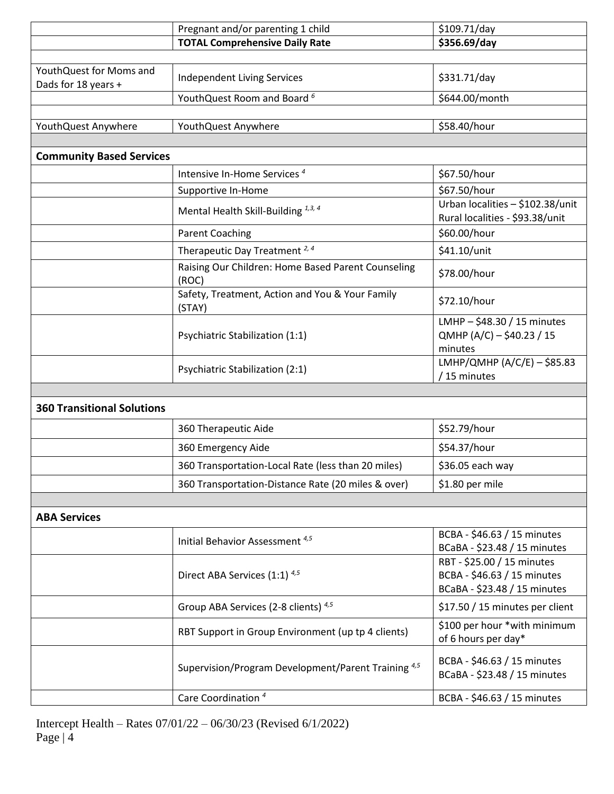|                                                | Pregnant and/or parenting 1 child                              | \$109.71/day                                                                              |
|------------------------------------------------|----------------------------------------------------------------|-------------------------------------------------------------------------------------------|
|                                                | <b>TOTAL Comprehensive Daily Rate</b>                          | \$356.69/day                                                                              |
|                                                |                                                                |                                                                                           |
| YouthQuest for Moms and<br>Dads for 18 years + | <b>Independent Living Services</b>                             | \$331.71/day                                                                              |
|                                                | YouthQuest Room and Board 6                                    | \$644.00/month                                                                            |
|                                                |                                                                |                                                                                           |
| YouthQuest Anywhere                            | YouthQuest Anywhere                                            | \$58.40/hour                                                                              |
|                                                |                                                                |                                                                                           |
| <b>Community Based Services</b>                |                                                                |                                                                                           |
|                                                | Intensive In-Home Services <sup>4</sup>                        | \$67.50/hour                                                                              |
|                                                | Supportive In-Home                                             | \$67.50/hour                                                                              |
|                                                | Mental Health Skill-Building 1,3, 4                            | Urban localities - \$102.38/unit<br>Rural localities - \$93.38/unit                       |
|                                                | <b>Parent Coaching</b>                                         | \$60.00/hour                                                                              |
|                                                | Therapeutic Day Treatment <sup>2,4</sup>                       | \$41.10/unit                                                                              |
|                                                | Raising Our Children: Home Based Parent Counseling<br>(ROC)    | \$78.00/hour                                                                              |
|                                                | Safety, Treatment, Action and You & Your Family<br>(STAY)      | \$72.10/hour                                                                              |
|                                                | Psychiatric Stabilization (1:1)                                | LMHP - \$48.30 / 15 minutes<br>QMHP (A/C) - \$40.23 / 15<br>minutes                       |
|                                                | Psychiatric Stabilization (2:1)                                | LMHP/QMHP (A/C/E) - \$85.83<br>/15 minutes                                                |
|                                                |                                                                |                                                                                           |
| <b>360 Transitional Solutions</b>              |                                                                |                                                                                           |
|                                                | 360 Therapeutic Aide                                           | \$52.79/hour                                                                              |
|                                                | 360 Emergency Aide                                             | \$54.37/hour                                                                              |
|                                                | 360 Transportation-Local Rate (less than 20 miles)             | \$36.05 each way                                                                          |
|                                                | 360 Transportation-Distance Rate (20 miles & over)             | \$1.80 per mile                                                                           |
|                                                |                                                                |                                                                                           |
| <b>ABA Services</b>                            |                                                                |                                                                                           |
|                                                | Initial Behavior Assessment <sup>4,5</sup>                     | BCBA - \$46.63 / 15 minutes<br>BCaBA - \$23.48 / 15 minutes                               |
|                                                | Direct ABA Services (1:1) 4,5                                  | RBT - \$25.00 / 15 minutes<br>BCBA - \$46.63 / 15 minutes<br>BCaBA - \$23.48 / 15 minutes |
|                                                | Group ABA Services (2-8 clients) 4,5                           | \$17.50 / 15 minutes per client                                                           |
|                                                | RBT Support in Group Environment (up tp 4 clients)             | \$100 per hour *with minimum<br>of 6 hours per day*                                       |
|                                                | Supervision/Program Development/Parent Training <sup>4,5</sup> | BCBA - \$46.63 / 15 minutes<br>BCaBA - \$23.48 / 15 minutes                               |
|                                                | Care Coordination <sup>4</sup>                                 | BCBA - \$46.63 / 15 minutes                                                               |
|                                                |                                                                |                                                                                           |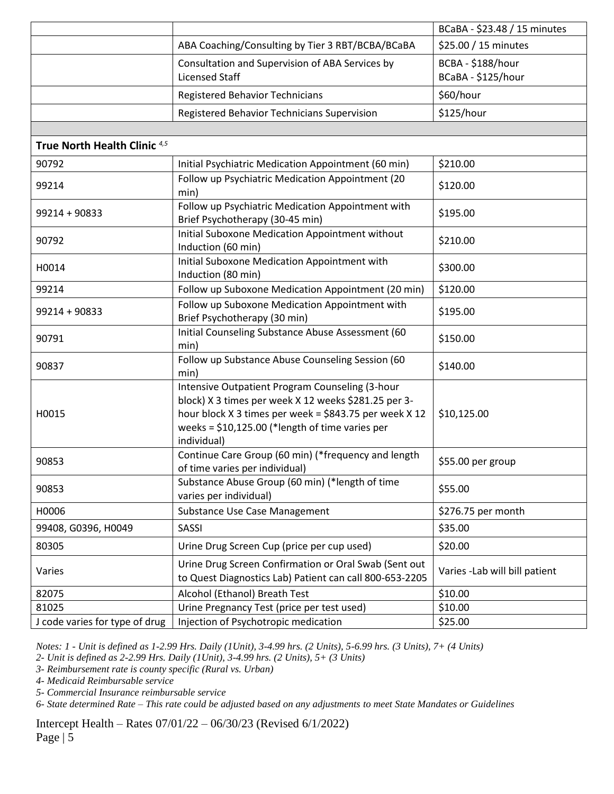|                                         |                                                                                                                                                                                                                                      | BCaBA - \$23.48 / 15 minutes            |
|-----------------------------------------|--------------------------------------------------------------------------------------------------------------------------------------------------------------------------------------------------------------------------------------|-----------------------------------------|
|                                         | ABA Coaching/Consulting by Tier 3 RBT/BCBA/BCaBA                                                                                                                                                                                     | \$25.00 / 15 minutes                    |
|                                         | Consultation and Supervision of ABA Services by<br><b>Licensed Staff</b>                                                                                                                                                             | BCBA - \$188/hour<br>BCaBA - \$125/hour |
|                                         | <b>Registered Behavior Technicians</b>                                                                                                                                                                                               | \$60/hour                               |
|                                         | Registered Behavior Technicians Supervision                                                                                                                                                                                          | \$125/hour                              |
|                                         |                                                                                                                                                                                                                                      |                                         |
| True North Health Clinic <sup>4,5</sup> |                                                                                                                                                                                                                                      |                                         |
| 90792                                   | Initial Psychiatric Medication Appointment (60 min)                                                                                                                                                                                  | \$210.00                                |
| 99214                                   | Follow up Psychiatric Medication Appointment (20<br>min)                                                                                                                                                                             | \$120.00                                |
| 99214 + 90833                           | Follow up Psychiatric Medication Appointment with<br>Brief Psychotherapy (30-45 min)                                                                                                                                                 | \$195.00                                |
| 90792                                   | Initial Suboxone Medication Appointment without<br>Induction (60 min)                                                                                                                                                                | \$210.00                                |
| H0014                                   | Initial Suboxone Medication Appointment with<br>Induction (80 min)                                                                                                                                                                   | \$300.00                                |
| 99214                                   | Follow up Suboxone Medication Appointment (20 min)                                                                                                                                                                                   | \$120.00                                |
| 99214 + 90833                           | Follow up Suboxone Medication Appointment with<br>Brief Psychotherapy (30 min)                                                                                                                                                       | \$195.00                                |
| 90791                                   | Initial Counseling Substance Abuse Assessment (60<br>min)                                                                                                                                                                            | \$150.00                                |
| 90837                                   | Follow up Substance Abuse Counseling Session (60<br>min)                                                                                                                                                                             | \$140.00                                |
| H0015                                   | Intensive Outpatient Program Counseling (3-hour<br>block) X 3 times per week X 12 weeks \$281.25 per 3-<br>hour block X 3 times per week = \$843.75 per week X 12<br>weeks = $$10,125.00$ (*length of time varies per<br>individual) | \$10,125.00                             |
| 90853                                   | Continue Care Group (60 min) (*frequency and length<br>of time varies per individual)                                                                                                                                                | \$55.00 per group                       |
| 90853                                   | Substance Abuse Group (60 min) (*length of time<br>varies per individual)                                                                                                                                                            | \$55.00                                 |
| H0006                                   | Substance Use Case Management                                                                                                                                                                                                        | \$276.75 per month                      |
| 99408, G0396, H0049                     | <b>SASSI</b>                                                                                                                                                                                                                         | \$35.00                                 |
| 80305                                   | Urine Drug Screen Cup (price per cup used)                                                                                                                                                                                           | \$20.00                                 |
| Varies                                  | Urine Drug Screen Confirmation or Oral Swab (Sent out<br>to Quest Diagnostics Lab) Patient can call 800-653-2205                                                                                                                     | Varies - Lab will bill patient          |
| 82075                                   | Alcohol (Ethanol) Breath Test                                                                                                                                                                                                        | \$10.00                                 |
| 81025                                   | Urine Pregnancy Test (price per test used)                                                                                                                                                                                           | \$10.00                                 |
| J code varies for type of drug          | Injection of Psychotropic medication                                                                                                                                                                                                 | \$25.00                                 |

*Notes: 1 - Unit is defined as 1-2.99 Hrs. Daily (1Unit), 3-4.99 hrs. (2 Units), 5-6.99 hrs. (3 Units), 7+ (4 Units)*

*2- Unit is defined as 2-2.99 Hrs. Daily (1Unit), 3-4.99 hrs. (2 Units), 5+ (3 Units)*

*3- Reimbursement rate is county specific (Rural vs. Urban)*

*4- Medicaid Reimbursable service*

*5- Commercial Insurance reimbursable service*

*6- State determined Rate – This rate could be adjusted based on any adjustments to meet State Mandates or Guidelines*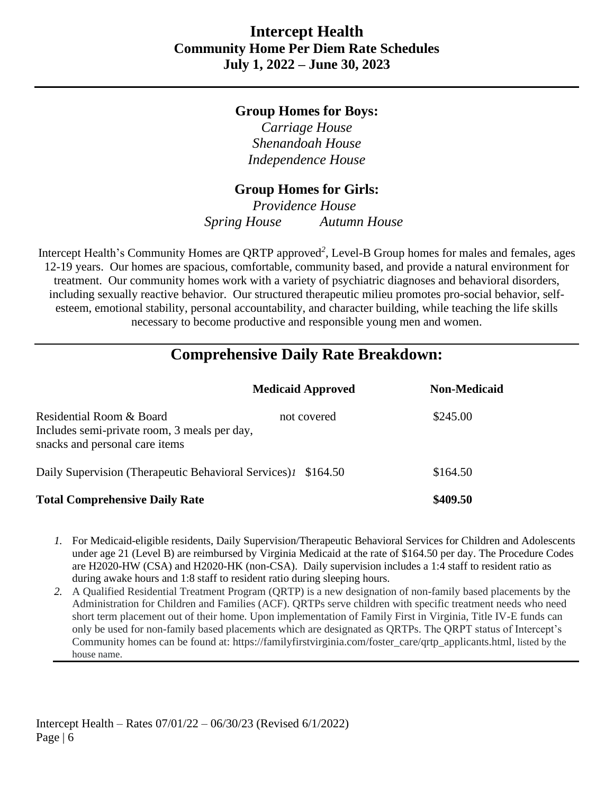### **Group Homes for Boys:**

*Carriage House Shenandoah House Independence House*

# **Group Homes for Girls:**

*Providence House Spring House Autumn House*

Intercept Health's Community Homes are QRTP approved*<sup>2</sup>* , Level-B Group homes for males and females, ages 12-19 years. Our homes are spacious, comfortable, community based, and provide a natural environment for treatment. Our community homes work with a variety of psychiatric diagnoses and behavioral disorders, including sexually reactive behavior. Our structured therapeutic milieu promotes pro-social behavior, selfesteem, emotional stability, personal accountability, and character building, while teaching the life skills necessary to become productive and responsible young men and women.

# **Comprehensive Daily Rate Breakdown:**

|                                                                                                            | <b>Medicaid Approved</b> | <b>Non-Medicaid</b> |  |  |  |
|------------------------------------------------------------------------------------------------------------|--------------------------|---------------------|--|--|--|
| Residential Room & Board<br>Includes semi-private room, 3 meals per day,<br>snacks and personal care items | not covered              | \$245.00            |  |  |  |
| Daily Supervision (Therapeutic Behavioral Services) 1 \$164.50                                             |                          | \$164.50            |  |  |  |
| <b>Total Comprehensive Daily Rate</b>                                                                      |                          | \$409.50            |  |  |  |

- *1.* For Medicaid-eligible residents, Daily Supervision/Therapeutic Behavioral Services for Children and Adolescents under age 21 (Level B) are reimbursed by Virginia Medicaid at the rate of \$164.50 per day. The Procedure Codes are H2020-HW (CSA) and H2020-HK (non-CSA). Daily supervision includes a 1:4 staff to resident ratio as during awake hours and 1:8 staff to resident ratio during sleeping hours*.*
- *2.* A Qualified Residential Treatment Program (QRTP) is a new designation of non-family based placements by the Administration for Children and Families (ACF). QRTPs serve children with specific treatment needs who need short term placement out of their home. Upon implementation of Family First in Virginia, Title IV-E funds can only be used for non-family based placements which are designated as QRTPs. The QRPT status of Intercept's Community homes can be found at: https://familyfirstvirginia.com/foster\_care/qrtp\_applicants.html, listed by the house name.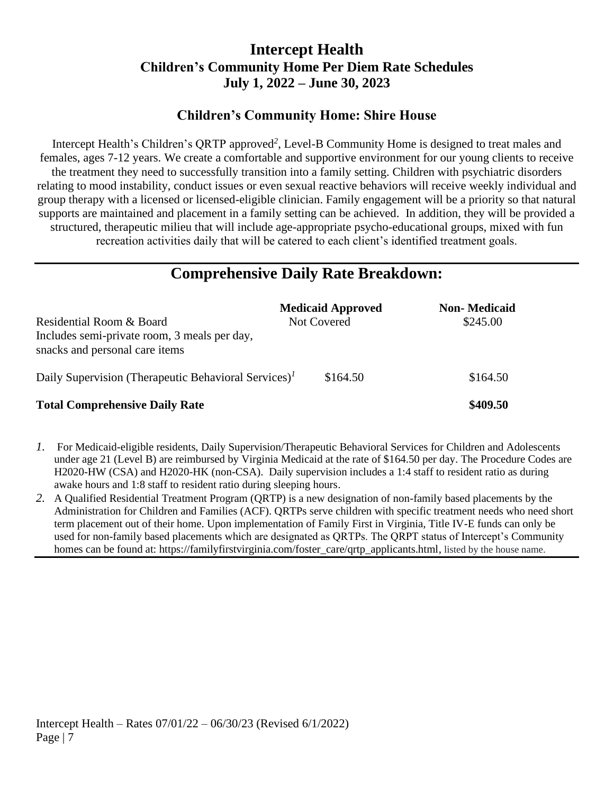# **Intercept Health Children's Community Home Per Diem Rate Schedules July 1, 2022 – June 30, 2023**

# **Children's Community Home: Shire House**

Intercept Health's Children's QRTP approved *2* , Level-B Community Home is designed to treat males and females, ages 7-12 years. We create a comfortable and supportive environment for our young clients to receive the treatment they need to successfully transition into a family setting. Children with psychiatric disorders relating to mood instability, conduct issues or even sexual reactive behaviors will receive weekly individual and group therapy with a licensed or licensed-eligible clinician. Family engagement will be a priority so that natural supports are maintained and placement in a family setting can be achieved. In addition, they will be provided a structured, therapeutic milieu that will include age-appropriate psycho-educational groups, mixed with fun recreation activities daily that will be catered to each client's identified treatment goals.

# **Comprehensive Daily Rate Breakdown:**

| Residential Room & Board<br>Includes semi-private room, 3 meals per day,<br>snacks and personal care items | <b>Medicaid Approved</b><br><b>Not Covered</b> | <b>Non-</b> Medicaid<br>\$245.00 |
|------------------------------------------------------------------------------------------------------------|------------------------------------------------|----------------------------------|
| Daily Supervision (Therapeutic Behavioral Services) <sup><math>I</math></sup>                              | \$164.50                                       | \$164.50                         |
| <b>Total Comprehensive Daily Rate</b>                                                                      |                                                | \$409.50                         |

- *1.* For Medicaid-eligible residents, Daily Supervision/Therapeutic Behavioral Services for Children and Adolescents under age 21 (Level B) are reimbursed by Virginia Medicaid at the rate of \$164.50 per day. The Procedure Codes are H2020-HW (CSA) and H2020-HK (non-CSA). Daily supervision includes a 1:4 staff to resident ratio as during awake hours and 1:8 staff to resident ratio during sleeping hours.
- *2.* A Qualified Residential Treatment Program (QRTP) is a new designation of non-family based placements by the Administration for Children and Families (ACF). QRTPs serve children with specific treatment needs who need short term placement out of their home. Upon implementation of Family First in Virginia, Title IV-E funds can only be used for non-family based placements which are designated as QRTPs. The QRPT status of Intercept's Community homes can be found at: https://familyfirstvirginia.com/foster\_care/qrtp\_applicants.html, listed by the house name.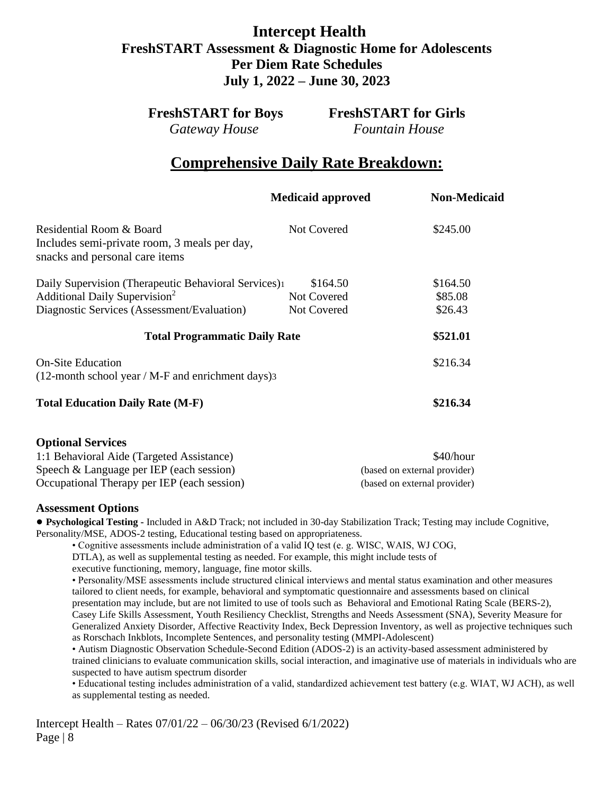# **Intercept Health FreshSTART Assessment & Diagnostic Home for Adolescents Per Diem Rate Schedules July 1, 2022 – June 30, 2023**

*Gateway House Fountain House*

**FreshSTART for Boys FreshSTART for Girls**

# **Comprehensive Daily Rate Breakdown:**

|                                                                                                               | <b>Medicaid approved</b> | <b>Non-Medicaid</b> |
|---------------------------------------------------------------------------------------------------------------|--------------------------|---------------------|
| Residential Room & Board<br>Includes semi-private room, 3 meals per day,<br>snacks and personal care items    | Not Covered              | \$245.00            |
| Daily Supervision (Therapeutic Behavioral Services) <sup>1</sup><br>Additional Daily Supervision <sup>2</sup> | \$164.50<br>Not Covered  | \$164.50<br>\$85.08 |
| Diagnostic Services (Assessment/Evaluation)                                                                   | Not Covered              | \$26.43             |
| <b>Total Programmatic Daily Rate</b>                                                                          |                          | \$521.01            |
| <b>On-Site Education</b><br>$(12$ -month school year / M-F and enrichment days) 3                             |                          | \$216.34            |
| <b>Total Education Daily Rate (M-F)</b>                                                                       |                          | \$216.34            |
| <b>Optional Services</b><br>1:1 Behavioral Aide (Targeted Assistance)                                         |                          | \$40/hour           |

| 1.1 Dellaviolal Alge (Targeted Assistance)  | ັ⊎ <del>⊥</del> ∪⊬⊥⊔∪u       |
|---------------------------------------------|------------------------------|
| Speech $&$ Language per IEP (each session)  | (based on external provider) |
| Occupational Therapy per IEP (each session) | (based on external provider) |

#### **Assessment Options**

**● Psychological Testing -** Included in A&D Track; not included in 30-day Stabilization Track; Testing may include Cognitive, Personality/MSE, ADOS-2 testing, Educational testing based on appropriateness.

• Cognitive assessments include administration of a valid IQ test (e. g. WISC, WAIS, WJ COG,

DTLA), as well as supplemental testing as needed. For example, this might include tests of

executive functioning, memory, language, fine motor skills.

• Personality/MSE assessments include structured clinical interviews and mental status examination and other measures tailored to client needs, for example, behavioral and symptomatic questionnaire and assessments based on clinical presentation may include, but are not limited to use of tools such as Behavioral and Emotional Rating Scale (BERS-2), Casey Life Skills Assessment, Youth Resiliency Checklist, Strengths and Needs Assessment (SNA), Severity Measure for Generalized Anxiety Disorder, Affective Reactivity Index, Beck Depression Inventory, as well as projective techniques such as Rorschach Inkblots, Incomplete Sentences, and personality testing (MMPI-Adolescent)

• Autism Diagnostic Observation Schedule-Second Edition (ADOS-2) is an activity-based assessment administered by trained clinicians to evaluate communication skills, social interaction, and imaginative use of materials in individuals who are suspected to have autism spectrum disorder

• Educational testing includes administration of a valid, standardized achievement test battery (e.g. WIAT, WJ ACH), as well as supplemental testing as needed.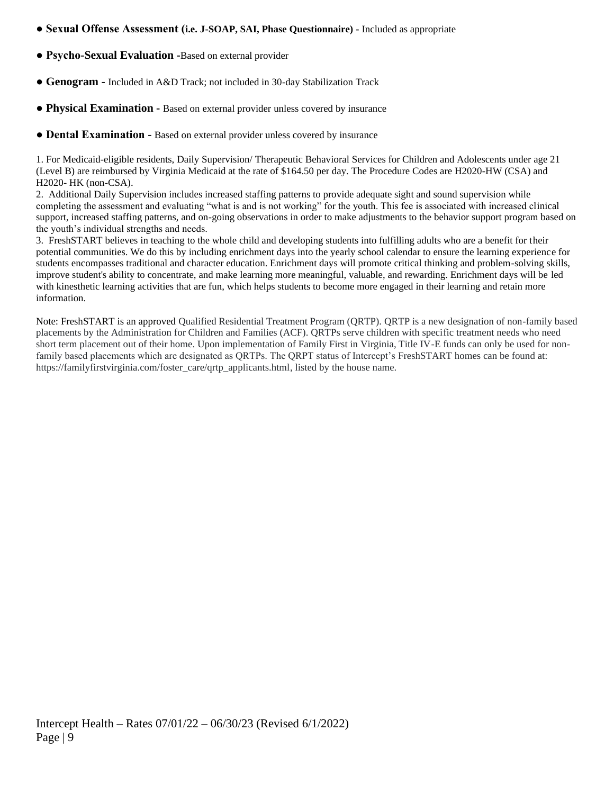- **Sexual Offense Assessment (i.e. J-SOAP, SAI, Phase Questionnaire) -** Included as appropriate
- **Psycho-Sexual Evaluation -**Based on external provider
- **● Genogram -** Included in A&D Track; not included in 30-day Stabilization Track
- **Physical Examination -** Based on external provider unless covered by insurance
- **Dental Examination -** Based on external provider unless covered by insurance

1. For Medicaid-eligible residents, Daily Supervision/ Therapeutic Behavioral Services for Children and Adolescents under age 21 (Level B) are reimbursed by Virginia Medicaid at the rate of \$164.50 per day. The Procedure Codes are H2020-HW (CSA) and H2020- HK (non-CSA).

2. Additional Daily Supervision includes increased staffing patterns to provide adequate sight and sound supervision while completing the assessment and evaluating "what is and is not working" for the youth. This fee is associated with increased clinical support, increased staffing patterns, and on-going observations in order to make adjustments to the behavior support program based on the youth's individual strengths and needs.

3. FreshSTART believes in teaching to the whole child and developing students into fulfilling adults who are a benefit for their potential communities. We do this by including enrichment days into the yearly school calendar to ensure the learning experience for students encompasses traditional and character education. Enrichment days will promote critical thinking and problem-solving skills, improve student's ability to concentrate, and make learning more meaningful, valuable, and rewarding. Enrichment days will be led with kinesthetic learning activities that are fun, which helps students to become more engaged in their learning and retain more information.

Note: FreshSTART is an approved Qualified Residential Treatment Program (QRTP). QRTP is a new designation of non-family based placements by the Administration for Children and Families (ACF). QRTPs serve children with specific treatment needs who need short term placement out of their home. Upon implementation of Family First in Virginia, Title IV-E funds can only be used for nonfamily based placements which are designated as QRTPs. The QRPT status of Intercept's FreshSTART homes can be found at: https://familyfirstvirginia.com/foster\_care/qrtp\_applicants.html, listed by the house name.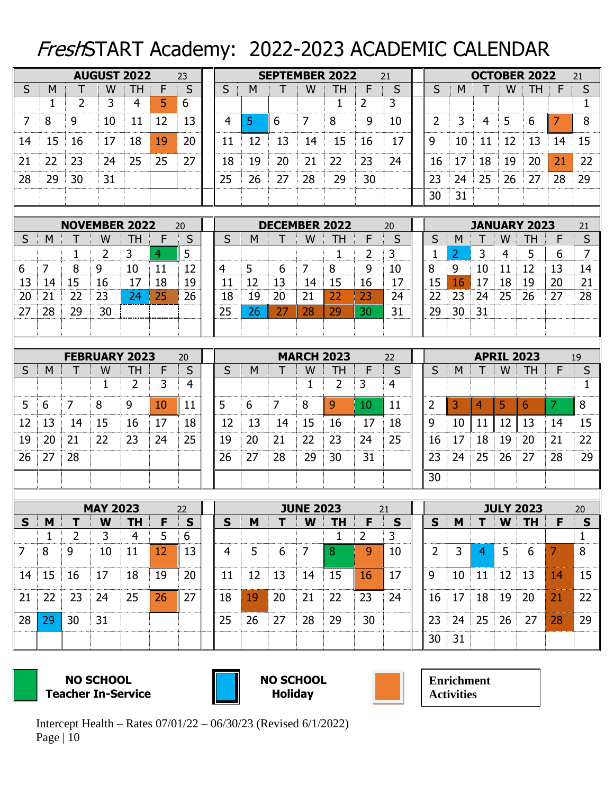# FreshSTART Academy: 2022-2023 ACADEMIC CALENDAR

|                |              |                | <b>AUGUST 2022</b>        |                |    | 23                |  |             |    |                |                       | <b>SEPTEMBER 2022</b>      |                | 21                |  |                         |    | <b>OCTOBER 2022</b><br>21 |                |                                  |    |                    |
|----------------|--------------|----------------|---------------------------|----------------|----|-------------------|--|-------------|----|----------------|-----------------------|----------------------------|----------------|-------------------|--|-------------------------|----|---------------------------|----------------|----------------------------------|----|--------------------|
| S              | M            | Т              | W                         | <b>TH</b>      | F  | S                 |  | S           | M  | Τ              | W                     | ТH                         | F              | S                 |  | S                       | M  |                           | W              | <b>TH</b>                        | F  | $\sf S$            |
|                | $\mathbf{1}$ | $\overline{2}$ | 3                         | 4              | 5  | 6                 |  |             |    |                |                       | 1                          | $\overline{2}$ | 3                 |  |                         |    |                           |                |                                  |    | $\mathbf 1$        |
| 7              | 8            | 9              | 10                        | 11             | 12 | 13                |  | 4           | 5  | 6              | 7                     | 8                          | 9              | 10                |  | 2                       | 3  | 4                         | 5              | 6                                | 7  | 8                  |
| 14             | 15           | 16             | 17                        | 18             | 19 | 20                |  | 11          | 12 | 13             | 14                    | 15                         | 16             | 17                |  | 9                       | 10 | 11                        | 12             | 13                               | 14 | 15                 |
| 21             | 22           | 23             | 24                        | 25             | 25 | 27                |  | 18          | 19 | 20             | 21                    | 22                         | 23             | 24                |  | 16                      | 17 | 18                        | 19             | 20                               | 21 | 22                 |
| 28             | 29           | 30             | 31                        |                |    |                   |  | 25          | 26 | 27             | 28                    | 29                         | 30             |                   |  | 23                      | 24 | 25                        | 26             | 27                               | 28 | 29                 |
|                |              |                |                           |                |    |                   |  |             |    |                |                       |                            |                |                   |  | 30                      | 31 |                           |                |                                  |    |                    |
|                |              |                |                           |                |    |                   |  |             |    |                |                       |                            |                |                   |  |                         |    |                           |                |                                  |    |                    |
| S              | M            |                | <b>NOVEMBER 2022</b><br>W | TH             | F  | 20<br>S           |  | S           | M  |                | W                     | <b>DECEMBER 2022</b><br>TН | F              | 20<br>S           |  | S                       | M  |                           | W              | <b>JANUARY 2023</b><br><b>TH</b> | F  | 21<br>$\mathsf{S}$ |
|                |              | $\mathbf 1$    | 2                         | 3              | 4  | 5                 |  |             |    |                |                       | 1                          | 2              | 3                 |  | 1                       | 2  | 3                         | $\overline{4}$ | 5                                | 6  | $\overline{7}$     |
| 6              | 7            | 8              | 9                         | 10             | 11 | 12                |  | 4           | 5  | 6              | 7                     | 8                          | 9              | 10                |  | 8                       | 9  | 10                        | 11             | 12                               | 13 | 14                 |
| 13             | 14           | 15             | 16                        | 17             | 18 | 19                |  | 11          | 12 | 13             | 14                    | 15                         | 16             | 17                |  | 15                      | 16 | 17                        | 18             | 19                               | 20 | 21                 |
| 20             | 21           | 22             | 23                        | 24             | 25 | 26                |  | 18          | 19 | 20             | 21                    | 22                         | 23             | 24                |  | 22                      | 23 | 24                        | 25             | 26                               | 27 | 28                 |
| 27             | 28           | 29             | 30                        |                |    |                   |  | 25          | 26 | 27             | 28                    | 29                         | 30             | 31                |  | 29                      | 30 | 31                        |                |                                  |    |                    |
|                |              |                |                           |                |    |                   |  |             |    |                |                       |                            |                |                   |  |                         |    |                           |                |                                  |    |                    |
|                |              |                |                           |                |    |                   |  |             |    |                |                       |                            |                |                   |  |                         |    |                           |                |                                  |    |                    |
|                |              |                | <b>FEBRUARY 2023</b>      |                |    | 20                |  |             |    |                |                       | <b>MARCH 2023</b>          |                | 22                |  | <b>APRIL 2023</b><br>19 |    |                           |                |                                  |    |                    |
| S              | M            |                | W                         | TH             | F  | S                 |  | S           | M  | т              | W                     | TН                         | F              | S                 |  | S                       | M  |                           | W              | <b>TH</b>                        | F  | S                  |
|                |              |                | 1                         | 2              | 3  | $\overline{4}$    |  |             |    |                | 1                     | 2                          | 3              | 4                 |  |                         |    |                           |                |                                  |    | $\mathbf{1}$       |
| 5              | 6            | 7              | 8                         | 9              | 10 | 11                |  | 5           | 6  | $\overline{7}$ | 8                     | 9                          | 10             | 11                |  | 2                       | 3  | 4                         | 5              | 6                                | 7  | 8                  |
| 12             | 13           | 14             | 15                        | 16             | 17 | 18                |  | 12          | 13 | 14             | 15                    | 16                         | 17             | 18                |  | 9                       | 10 | 11                        | 12             | 13                               | 14 | 15                 |
| 19             | 20           | 21             | 22                        | 23             | 24 | 25                |  | 19          | 20 | 21             | 22                    | 23                         | 24             | 25                |  | 16                      | 17 | 18                        | 19             | 20                               | 21 | 22                 |
| 26             | 27           | 28             |                           |                |    |                   |  | 26          | 27 | 28             | 29                    | 30                         | 31             |                   |  | 23                      | 24 | 25                        | 26             | 27                               | 28 | 29                 |
|                |              |                |                           |                |    |                   |  |             |    |                |                       |                            |                |                   |  | 30                      |    |                           |                |                                  |    |                    |
|                |              |                |                           |                |    |                   |  |             |    |                |                       |                            |                |                   |  |                         |    |                           |                |                                  |    |                    |
| $\mathsf{s}$   | M            | T              | <b>MAY 2023</b><br>W      | <b>TH</b>      | F  | 22<br>$\mathbf S$ |  | $\mathbf S$ | M  | T              | <b>JUNE 2023</b><br>W | TН                         | F              | 21<br>$\mathbf S$ |  | $\mathsf{s}$            | M  | T                         | W              | <b>JULY 2023</b><br><b>TH</b>    | F  | 20<br>$\mathsf{s}$ |
|                | $\mathbf{1}$ | $\overline{2}$ | 3                         | $\overline{4}$ | 5  | 6                 |  |             |    |                |                       | $\mathbf{1}$               | $\overline{2}$ | 3                 |  |                         |    |                           |                |                                  |    | $\mathbf{1}$       |
| $\overline{7}$ | 8            | 9              | 10                        | 11             | 12 | 13                |  | 4           | 5  | 6              | $\overline{7}$        | 8                          | 9              | 10                |  | $\overline{2}$          | 3  | $\overline{4}$            | 5              | 6                                | 7  | 8                  |
| 14             | 15           | 16             | 17                        | 18             | 19 | 20                |  | 11          | 12 | 13             | 14                    | 15                         | 16             | 17                |  | 9                       | 10 | 11                        | 12             | 13                               | 14 | 15                 |
|                |              |                |                           |                |    |                   |  |             |    |                |                       |                            |                |                   |  |                         |    |                           |                |                                  |    |                    |
| 21             | 22           | 23             | 24                        | 25             | 26 | 27                |  | 18          | 19 | 20             | 21                    | 22                         | 23             | 24                |  | 16                      | 17 | 18                        | 19             | 20                               | 21 | 22                 |
| 28             | 29           | 30             | 31                        |                |    |                   |  | 25          | 26 | 27             | 28                    | 29                         | 30             |                   |  | 23                      | 24 | 25                        | 26             | 27                               | 28 | 29                 |
|                |              |                |                           |                |    |                   |  |             |    |                |                       |                            |                |                   |  | 30                      | 31 |                           |                |                                  |    |                    |

 **NO SCHOOL Teacher In-Service**



 **NO SCHOOL Holiday** 

**Enrichment Activities**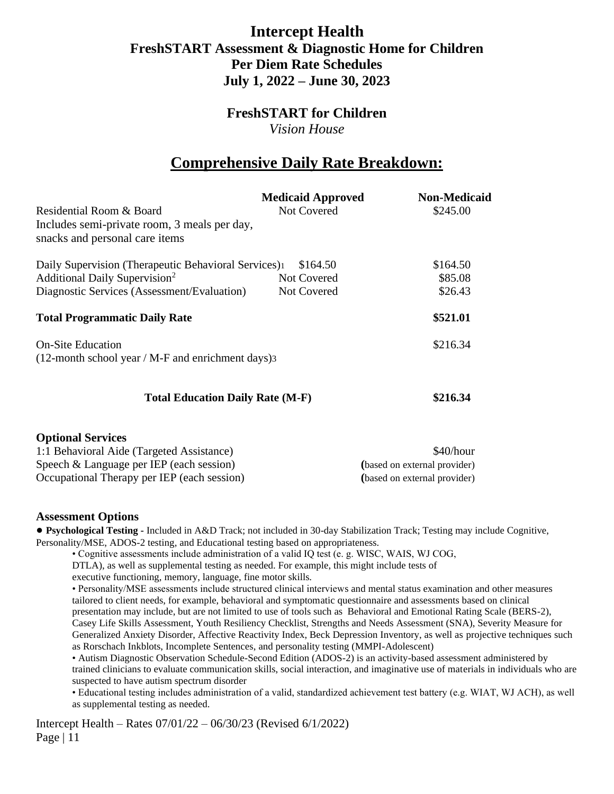# **Intercept Health FreshSTART Assessment & Diagnostic Home for Children Per Diem Rate Schedules July 1, 2022 – June 30, 2023**

# **FreshSTART for Children**

*Vision House*

# **Comprehensive Daily Rate Breakdown:**

|                                                                  | <b>Medicaid Approved</b> | <b>Non-Medicaid</b> |
|------------------------------------------------------------------|--------------------------|---------------------|
| Residential Room & Board                                         | <b>Not Covered</b>       | \$245.00            |
| Includes semi-private room, 3 meals per day,                     |                          |                     |
| snacks and personal care items                                   |                          |                     |
| Daily Supervision (Therapeutic Behavioral Services) <sup>1</sup> | \$164.50                 | \$164.50            |
| Additional Daily Supervision <sup>2</sup>                        | Not Covered              | \$85.08             |
| Diagnostic Services (Assessment/Evaluation)                      | Not Covered              | \$26.43             |
| <b>Total Programmatic Daily Rate</b>                             |                          | \$521.01            |
| <b>On-Site Education</b>                                         |                          | \$216.34            |
| $(12$ -month school year / M-F and enrichment days) 3            |                          |                     |
|                                                                  |                          |                     |
| <b>Total Education Daily Rate (M-F)</b>                          | \$216.34                 |                     |
| <b>Optional Services</b>                                         |                          |                     |

| 1:1 Behavioral Aide (Targeted Assistance)   | \$40/hour                    |
|---------------------------------------------|------------------------------|
| Speech $&$ Language per IEP (each session)  | (based on external provider) |
| Occupational Therapy per IEP (each session) | (based on external provider) |

#### **Assessment Options**

**● Psychological Testing -** Included in A&D Track; not included in 30-day Stabilization Track; Testing may include Cognitive, Personality/MSE, ADOS-2 testing, and Educational testing based on appropriateness.

• Cognitive assessments include administration of a valid IQ test (e. g. WISC, WAIS, WJ COG,

DTLA), as well as supplemental testing as needed. For example, this might include tests of

executive functioning, memory, language, fine motor skills.

• Personality/MSE assessments include structured clinical interviews and mental status examination and other measures tailored to client needs, for example, behavioral and symptomatic questionnaire and assessments based on clinical presentation may include, but are not limited to use of tools such as Behavioral and Emotional Rating Scale (BERS-2), Casey Life Skills Assessment, Youth Resiliency Checklist, Strengths and Needs Assessment (SNA), Severity Measure for Generalized Anxiety Disorder, Affective Reactivity Index, Beck Depression Inventory, as well as projective techniques such as Rorschach Inkblots, Incomplete Sentences, and personality testing (MMPI-Adolescent)

• Autism Diagnostic Observation Schedule-Second Edition (ADOS-2) is an activity-based assessment administered by trained clinicians to evaluate communication skills, social interaction, and imaginative use of materials in individuals who are suspected to have autism spectrum disorder

• Educational testing includes administration of a valid, standardized achievement test battery (e.g. WIAT, WJ ACH), as well as supplemental testing as needed.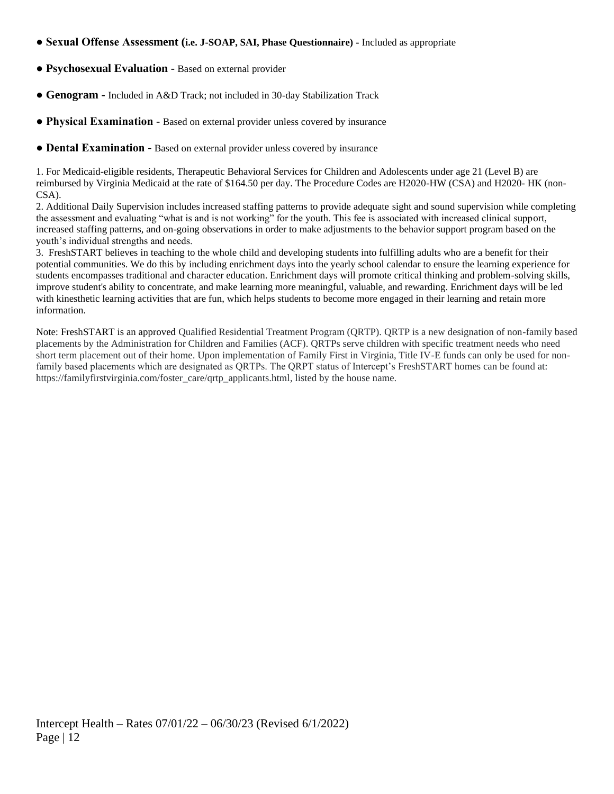- **Sexual Offense Assessment (i.e. J-SOAP, SAI, Phase Questionnaire) -** Included as appropriate
- **Psychosexual Evaluation -** Based on external provider
- **● Genogram -** Included in A&D Track; not included in 30-day Stabilization Track
- **Physical Examination -** Based on external provider unless covered by insurance
- **Dental Examination -** Based on external provider unless covered by insurance

1. For Medicaid-eligible residents, Therapeutic Behavioral Services for Children and Adolescents under age 21 (Level B) are reimbursed by Virginia Medicaid at the rate of \$164.50 per day. The Procedure Codes are H2020-HW (CSA) and H2020- HK (non-CSA).

2. Additional Daily Supervision includes increased staffing patterns to provide adequate sight and sound supervision while completing the assessment and evaluating "what is and is not working" for the youth. This fee is associated with increased clinical support, increased staffing patterns, and on-going observations in order to make adjustments to the behavior support program based on the youth's individual strengths and needs.

3. FreshSTART believes in teaching to the whole child and developing students into fulfilling adults who are a benefit for their potential communities. We do this by including enrichment days into the yearly school calendar to ensure the learning experience for students encompasses traditional and character education. Enrichment days will promote critical thinking and problem-solving skills, improve student's ability to concentrate, and make learning more meaningful, valuable, and rewarding. Enrichment days will be led with kinesthetic learning activities that are fun, which helps students to become more engaged in their learning and retain more information.

Note: FreshSTART is an approved Qualified Residential Treatment Program (QRTP). QRTP is a new designation of non-family based placements by the Administration for Children and Families (ACF). QRTPs serve children with specific treatment needs who need short term placement out of their home. Upon implementation of Family First in Virginia, Title IV-E funds can only be used for nonfamily based placements which are designated as QRTPs. The QRPT status of Intercept's FreshSTART homes can be found at: https://familyfirstvirginia.com/foster\_care/qrtp\_applicants.html, listed by the house name.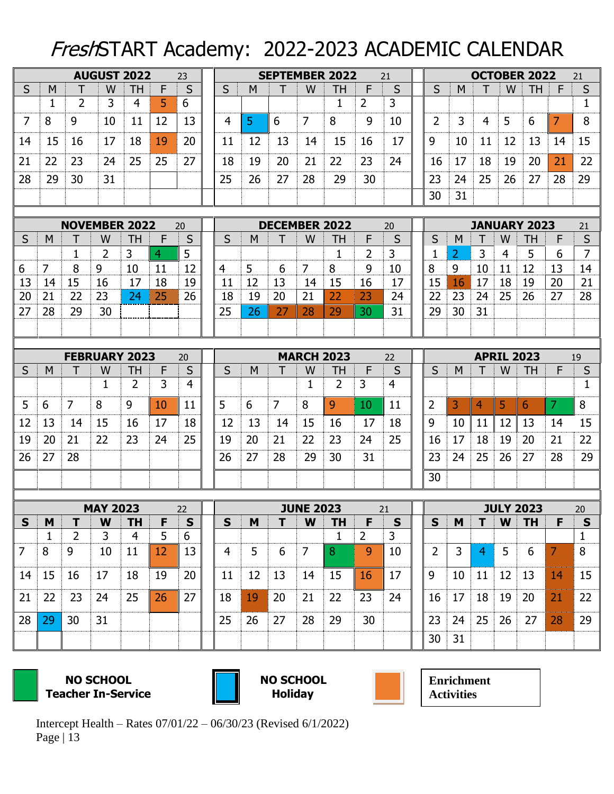# FreshSTART Academy: 2022-2023 ACADEMIC CALENDAR

|                |                   |                     | <b>AUGUST 2022</b>   |                             |        | 23             |   | <b>SEPTEMBER 2022</b><br>21 |    |                |                  |                           |                     |                  |  | <b>OCTOBER 2022</b><br>21 |                |                |    |                     |    |                           |
|----------------|-------------------|---------------------|----------------------|-----------------------------|--------|----------------|---|-----------------------------|----|----------------|------------------|---------------------------|---------------------|------------------|--|---------------------------|----------------|----------------|----|---------------------|----|---------------------------|
| S              | M                 | Τ                   | W                    | <b>TH</b>                   | F      | S              |   | S                           | M  | Τ              | W                | <b>TH</b>                 | F                   | S                |  | S                         | M              |                | W  | <b>TH</b>           | F  | $\sf S$                   |
|                | $\mathbf 1$       | $\overline{2}$      | 3                    | 4                           | 5      | 6              |   |                             |    |                |                  | 1                         | $\overline{2}$      | 3                |  |                           |                |                |    |                     |    | $\mathbf 1$               |
| 7              | 8                 | 9                   | 10                   | 11                          | 12     | 13             |   | 4                           | 5  | 6              | 7                | 8                         | 9                   | 10               |  | 2                         | 3              | 4              | 5  | 6                   | 7  | 8                         |
| 14             | 15                | 16                  | 17                   | 18                          | 19     | 20             |   | 11                          | 12 | 13             | 14               | 15                        | 16                  | 17               |  | 9                         | 10             | 11             | 12 | 13                  | 14 | 15                        |
| 21             | 22                | 23                  | 24                   | 25                          | 25     | 27             |   | 18                          | 19 | 20             | 21               | 22                        | 23                  | 24               |  | 16                        | 17             | 18             | 19 | 20                  | 21 | 22                        |
| 28             | 29                | 30                  | 31                   |                             |        |                |   | 25                          | 26 | 27             | 28               | 29                        | 30                  |                  |  | 23                        | 24             | 25             | 26 | 27                  | 28 | 29                        |
|                |                   |                     |                      |                             |        |                |   |                             |    |                |                  |                           |                     |                  |  | 30                        | 31             |                |    |                     |    |                           |
|                |                   |                     | <b>NOVEMBER 2022</b> |                             |        | 20             |   |                             |    |                |                  | <b>DECEMBER 2022</b>      |                     | 20               |  |                           |                |                |    | <b>JANUARY 2023</b> |    | 21                        |
| S              | M                 |                     | W                    | TH                          | F      | S              |   | S                           | M  | T              | W                | TН                        | F                   | S                |  | S                         | M              |                | W  | <b>TH</b>           | F  | S                         |
|                |                   | $\mathbf 1$         | $\overline{2}$       | 3                           | 4      | 5              |   |                             |    |                |                  | 1                         | 2                   | 3                |  | $\mathbf 1$               | 2              | 3              | 4  | 5                   | 6  | $\overline{7}$            |
| 6              | 7                 | 8                   | 9                    | 10                          | 11     | 12             | 4 |                             | 5  | 6              | 7                | 8                         | 9                   | 10               |  | 8                         | 9              | 10             | 11 | 12                  | 13 | 14                        |
| 13             | 14                | 15                  | 16                   | 17                          | 18     | 19             |   | 11                          | 12 | 13             | 14               | 15                        | 16                  | 17               |  | 15                        | 16             | 17             | 18 | 19                  | 20 | 21                        |
| 20             | 21                | 22                  | 23                   | 24                          | 25     | 26             |   | 18                          | 19 | 20             | 21               | 22                        | 23                  | 24               |  | 22                        | 23             | 24             | 25 | 26                  | 27 | 28                        |
| 27             | 28                | 29                  | 30                   |                             |        |                |   | 25                          | 26 | 27             | 28               | 29                        | 30                  | 31               |  | 29                        | 30             | 31             |    |                     |    |                           |
|                |                   |                     |                      |                             |        |                |   |                             |    |                |                  |                           |                     |                  |  |                           |                |                |    |                     |    |                           |
|                |                   |                     |                      |                             |        |                |   |                             |    |                |                  |                           |                     |                  |  |                           |                |                |    |                     |    |                           |
|                |                   |                     | <b>FEBRUARY 2023</b> |                             |        | 20             |   |                             |    |                |                  | <b>MARCH 2023</b>         |                     | 22               |  | <b>APRIL 2023</b><br>19   |                |                |    |                     |    |                           |
| S              | M                 | Т                   | W                    | TH                          | F      | S              |   | S                           | M  | T              | W                | TH                        | F                   | S                |  | S                         | M              |                | W  | <b>TH</b>           | F  | $\mathsf{S}$              |
|                |                   |                     | 1                    | 2                           | 3      | 4              |   |                             |    |                | 1                | 2                         | 3                   | 4                |  |                           |                |                |    |                     |    | 1                         |
| 5              | 6                 | $\overline{7}$      | 8                    | 9                           | 10     | 11             | 5 |                             | 6  | $\overline{7}$ | 8                | 9                         | 10                  | 11               |  | 2                         | 3              | 4              | 5  | 6                   | 7  | 8                         |
| 12             | 13                | 14                  | 15                   | 16                          | 17     | 18             |   | 12                          | 13 | 14             | 15               | 16                        | 17                  | 18               |  | 9                         | 10             | 11             | 12 | 13                  | 14 | 15                        |
| 19             | 20                | 21                  | 22                   | 23                          | 24     | 25             |   | 19                          | 20 | 21             | 22               | 23                        | 24                  | 25               |  | 16                        | 17             | 18             | 19 | 20                  | 21 | 22                        |
| 26             | 27                | 28                  |                      |                             |        |                |   | 26                          | 27 | 28             | 29               | 30                        | 31                  |                  |  | 23                        | 24             | 25             | 26 | 27                  | 28 | 29                        |
|                |                   |                     |                      |                             |        |                |   |                             |    |                |                  |                           |                     |                  |  | 30                        |                |                |    |                     |    |                           |
|                |                   |                     |                      |                             |        |                |   |                             |    |                |                  |                           |                     |                  |  |                           |                |                |    |                     |    |                           |
|                |                   |                     | <b>MAY 2023</b>      |                             |        | 22             |   |                             |    |                | <b>JUNE 2023</b> |                           |                     | 21               |  |                           |                | T              |    | <b>JULY 2023</b>    |    | 20                        |
| S              | M<br>$\mathbf{1}$ | T<br>$\overline{2}$ | W<br>3               | <b>TH</b><br>$\overline{4}$ | F<br>5 | ${\sf S}$<br>6 |   | $\mathsf{s}$                | M  | T              | W                | <b>TH</b><br>$\mathbf{1}$ | F<br>$\overline{2}$ | $\mathbf S$<br>3 |  | $\mathbf S$               | M              |                | W  | <b>TH</b>           | F  | ${\sf s}$<br>$\mathbf{1}$ |
| $\overline{7}$ | 8                 | 9                   | 10                   | 11                          | 12     | 13             |   | 4                           | 5  | 6              | $\overline{7}$   | 8                         | 9                   | 10               |  | $\overline{2}$            | $\overline{3}$ | $\overline{4}$ | 5  | 6                   | 7  | 8                         |
|                |                   |                     |                      |                             |        |                |   |                             |    |                |                  |                           |                     |                  |  |                           |                |                |    |                     |    |                           |
| 14             | 15                | 16                  | 17                   | 18                          | 19     | 20             |   | 11                          | 12 | 13             | 14               | 15                        | 16                  | 17               |  | 9                         | 10             | 11             | 12 | 13                  | 14 | 15                        |
| 21             | 22                | 23                  | 24                   | 25                          | 26     | 27             |   | 18                          | 19 | 20             | 21               | 22                        | 23                  | 24               |  | 16                        | 17             | 18             | 19 | 20                  | 21 | 22                        |
| 28             | 29                | 30                  | 31                   |                             |        |                |   | 25                          | 26 | 27             | 28               | 29                        | 30                  |                  |  | 23                        | 24             | 25             | 26 | 27                  | 28 | 29                        |
|                |                   |                     |                      |                             |        |                |   |                             |    |                |                  |                           |                     |                  |  | 30                        | 31             |                |    |                     |    |                           |

 **NO SCHOOL Teacher In-Service**



 **NO SCHOOL Holiday** 



**Enrichment Activities**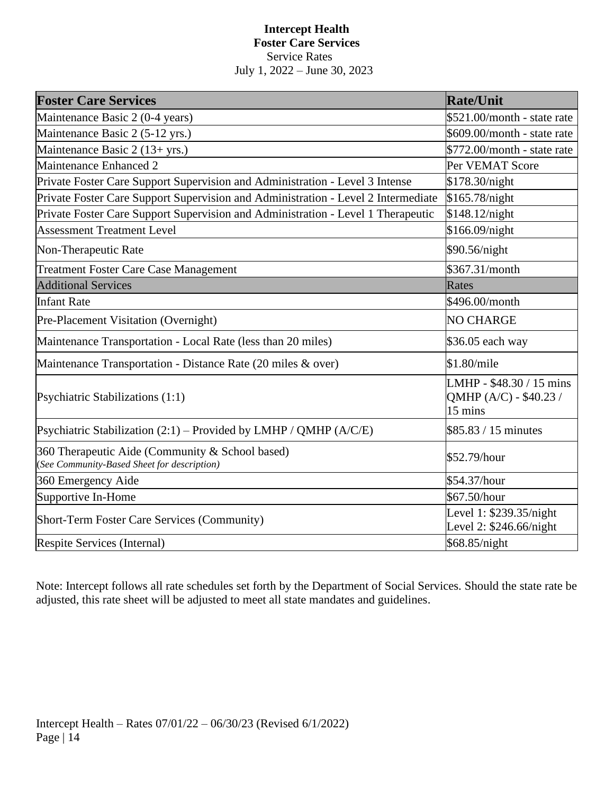#### **Intercept Health Foster Care Services** Service Rates July 1, 2022 – June 30, 2023

| <b>Foster Care Services</b>                                                                    | <b>Rate/Unit</b>                                              |
|------------------------------------------------------------------------------------------------|---------------------------------------------------------------|
| Maintenance Basic 2 (0-4 years)                                                                | \$521.00/month - state rate                                   |
| Maintenance Basic 2 (5-12 yrs.)                                                                | \$609.00/month - state rate                                   |
| Maintenance Basic 2 (13+ yrs.)                                                                 | \$772.00/month - state rate                                   |
| Maintenance Enhanced 2                                                                         | Per VEMAT Score                                               |
| Private Foster Care Support Supervision and Administration - Level 3 Intense                   | \$178.30/night                                                |
| Private Foster Care Support Supervision and Administration - Level 2 Intermediate              | \$165.78/night                                                |
| Private Foster Care Support Supervision and Administration - Level 1 Therapeutic               | \$148.12/night                                                |
| <b>Assessment Treatment Level</b>                                                              | \$166.09/night                                                |
| Non-Therapeutic Rate                                                                           | \$90.56/night                                                 |
| <b>Treatment Foster Care Case Management</b>                                                   | \$367.31/month                                                |
| <b>Additional Services</b>                                                                     | Rates                                                         |
| <b>Infant Rate</b>                                                                             | \$496.00/month                                                |
| Pre-Placement Visitation (Overnight)                                                           | <b>NO CHARGE</b>                                              |
| Maintenance Transportation - Local Rate (less than 20 miles)                                   | \$36.05 each way                                              |
| Maintenance Transportation - Distance Rate (20 miles & over)                                   | \$1.80/mile                                                   |
| Psychiatric Stabilizations (1:1)                                                               | LMHP - \$48.30 / 15 mins<br>QMHP (A/C) - \$40.23 /<br>15 mins |
| Psychiatric Stabilization $(2:1)$ – Provided by LMHP / QMHP $(A/C/E)$                          | \$85.83 / 15 minutes                                          |
| 360 Therapeutic Aide (Community & School based)<br>(See Community-Based Sheet for description) | \$52.79/hour                                                  |
| 360 Emergency Aide                                                                             | \$54.37/hour                                                  |
| Supportive In-Home                                                                             | \$67.50/hour                                                  |
| Short-Term Foster Care Services (Community)                                                    | Level 1: \$239.35/night<br>Level 2: \$246.66/night            |
| Respite Services (Internal)                                                                    | \$68.85/night                                                 |

Note: Intercept follows all rate schedules set forth by the Department of Social Services. Should the state rate be adjusted, this rate sheet will be adjusted to meet all state mandates and guidelines.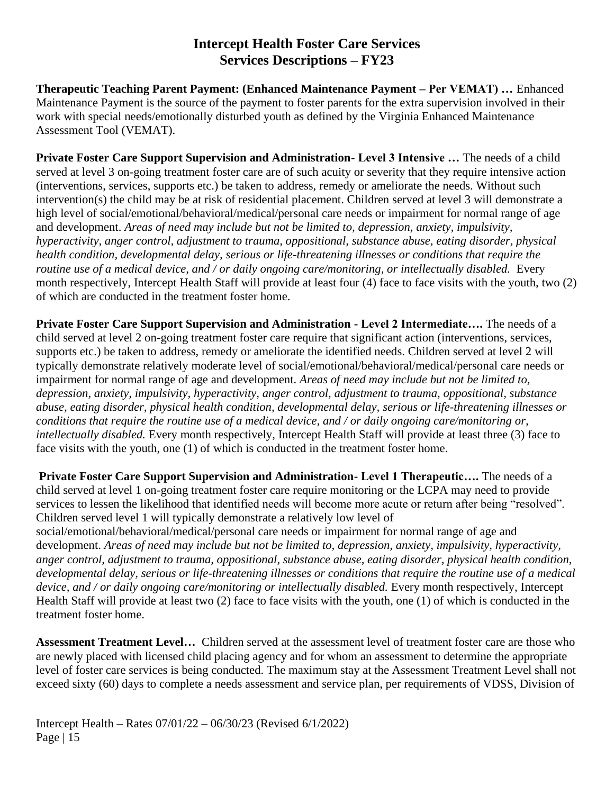# **Intercept Health Foster Care Services Services Descriptions – FY23**

**Therapeutic Teaching Parent Payment: (Enhanced Maintenance Payment – Per VEMAT) …** Enhanced Maintenance Payment is the source of the payment to foster parents for the extra supervision involved in their work with special needs/emotionally disturbed youth as defined by the Virginia Enhanced Maintenance Assessment Tool (VEMAT).

**Private Foster Care Support Supervision and Administration- Level 3 Intensive …** The needs of a child served at level 3 on-going treatment foster care are of such acuity or severity that they require intensive action (interventions, services, supports etc.) be taken to address, remedy or ameliorate the needs. Without such intervention(s) the child may be at risk of residential placement. Children served at level 3 will demonstrate a high level of social/emotional/behavioral/medical/personal care needs or impairment for normal range of age and development. *Areas of need may include but not be limited to, depression, anxiety, impulsivity, hyperactivity, anger control, adjustment to trauma, oppositional, substance abuse, eating disorder, physical health condition, developmental delay, serious or life-threatening illnesses or conditions that require the routine use of a medical device, and / or daily ongoing care/monitoring, or intellectually disabled.* Every month respectively, Intercept Health Staff will provide at least four (4) face to face visits with the youth, two (2) of which are conducted in the treatment foster home.

**Private Foster Care Support Supervision and Administration - Level 2 Intermediate….** The needs of a child served at level 2 on-going treatment foster care require that significant action (interventions, services, supports etc.) be taken to address, remedy or ameliorate the identified needs. Children served at level 2 will typically demonstrate relatively moderate level of social/emotional/behavioral/medical/personal care needs or impairment for normal range of age and development. *Areas of need may include but not be limited to, depression, anxiety, impulsivity, hyperactivity, anger control, adjustment to trauma, oppositional, substance abuse, eating disorder, physical health condition, developmental delay, serious or life-threatening illnesses or conditions that require the routine use of a medical device, and / or daily ongoing care/monitoring or, intellectually disabled.* Every month respectively, Intercept Health Staff will provide at least three (3) face to face visits with the youth, one (1) of which is conducted in the treatment foster home.

**Private Foster Care Support Supervision and Administration- Level 1 Therapeutic….** The needs of a child served at level 1 on-going treatment foster care require monitoring or the LCPA may need to provide services to lessen the likelihood that identified needs will become more acute or return after being "resolved". Children served level 1 will typically demonstrate a relatively low level of social/emotional/behavioral/medical/personal care needs or impairment for normal range of age and development. *Areas of need may include but not be limited to, depression, anxiety, impulsivity, hyperactivity, anger control, adjustment to trauma, oppositional, substance abuse, eating disorder, physical health condition, developmental delay, serious or life-threatening illnesses or conditions that require the routine use of a medical device, and / or daily ongoing care/monitoring or intellectually disabled.* Every month respectively, Intercept Health Staff will provide at least two (2) face to face visits with the youth, one (1) of which is conducted in the treatment foster home.

**Assessment Treatment Level…** Children served at the assessment level of treatment foster care are those who are newly placed with licensed child placing agency and for whom an assessment to determine the appropriate level of foster care services is being conducted. The maximum stay at the Assessment Treatment Level shall not exceed sixty (60) days to complete a needs assessment and service plan, per requirements of VDSS, Division of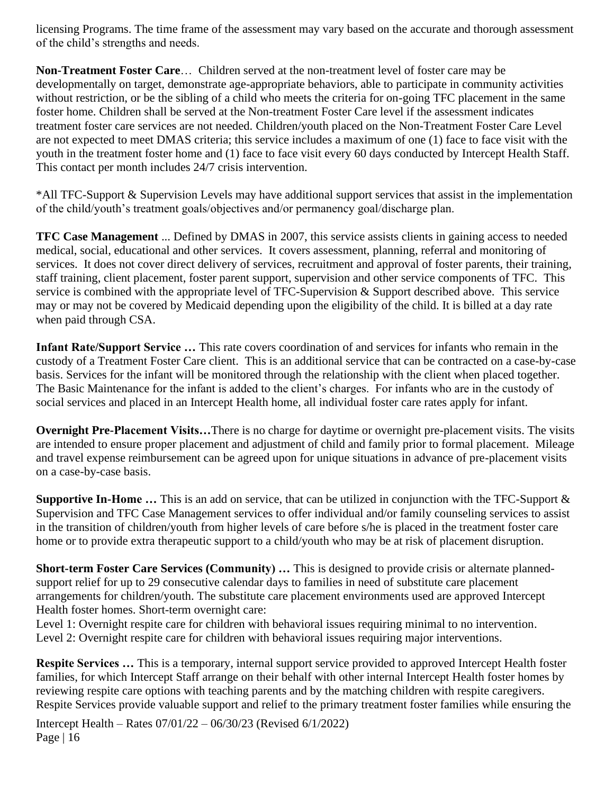licensing Programs. The time frame of the assessment may vary based on the accurate and thorough assessment of the child's strengths and needs.

**Non-Treatment Foster Care**… Children served at the non-treatment level of foster care may be developmentally on target, demonstrate age-appropriate behaviors, able to participate in community activities without restriction, or be the sibling of a child who meets the criteria for on-going TFC placement in the same foster home. Children shall be served at the Non-treatment Foster Care level if the assessment indicates treatment foster care services are not needed. Children/youth placed on the Non-Treatment Foster Care Level are not expected to meet DMAS criteria; this service includes a maximum of one (1) face to face visit with the youth in the treatment foster home and (1) face to face visit every 60 days conducted by Intercept Health Staff. This contact per month includes 24/7 crisis intervention.

\*All TFC-Support & Supervision Levels may have additional support services that assist in the implementation of the child/youth's treatment goals/objectives and/or permanency goal/discharge plan.

**TFC Case Management** ... Defined by DMAS in 2007, this service assists clients in gaining access to needed medical, social, educational and other services. It covers assessment, planning, referral and monitoring of services. It does not cover direct delivery of services, recruitment and approval of foster parents, their training, staff training, client placement, foster parent support, supervision and other service components of TFC. This service is combined with the appropriate level of TFC-Supervision & Support described above. This service may or may not be covered by Medicaid depending upon the eligibility of the child. It is billed at a day rate when paid through CSA.

**Infant Rate/Support Service …** This rate covers coordination of and services for infants who remain in the custody of a Treatment Foster Care client. This is an additional service that can be contracted on a case-by-case basis. Services for the infant will be monitored through the relationship with the client when placed together. The Basic Maintenance for the infant is added to the client's charges. For infants who are in the custody of social services and placed in an Intercept Health home, all individual foster care rates apply for infant.

**Overnight Pre-Placement Visits…**There is no charge for daytime or overnight pre-placement visits. The visits are intended to ensure proper placement and adjustment of child and family prior to formal placement. Mileage and travel expense reimbursement can be agreed upon for unique situations in advance of pre-placement visits on a case-by-case basis.

**Supportive In-Home …** This is an add on service, that can be utilized in conjunction with the TFC-Support & Supervision and TFC Case Management services to offer individual and/or family counseling services to assist in the transition of children/youth from higher levels of care before s/he is placed in the treatment foster care home or to provide extra therapeutic support to a child/youth who may be at risk of placement disruption.

**Short-term Foster Care Services (Community) …** This is designed to provide crisis or alternate plannedsupport relief for up to 29 consecutive calendar days to families in need of substitute care placement arrangements for children/youth. The substitute care placement environments used are approved Intercept Health foster homes. Short-term overnight care:

Level 1: Overnight respite care for children with behavioral issues requiring minimal to no intervention. Level 2: Overnight respite care for children with behavioral issues requiring major interventions.

**Respite Services …** This is a temporary, internal support service provided to approved Intercept Health foster families, for which Intercept Staff arrange on their behalf with other internal Intercept Health foster homes by reviewing respite care options with teaching parents and by the matching children with respite caregivers. Respite Services provide valuable support and relief to the primary treatment foster families while ensuring the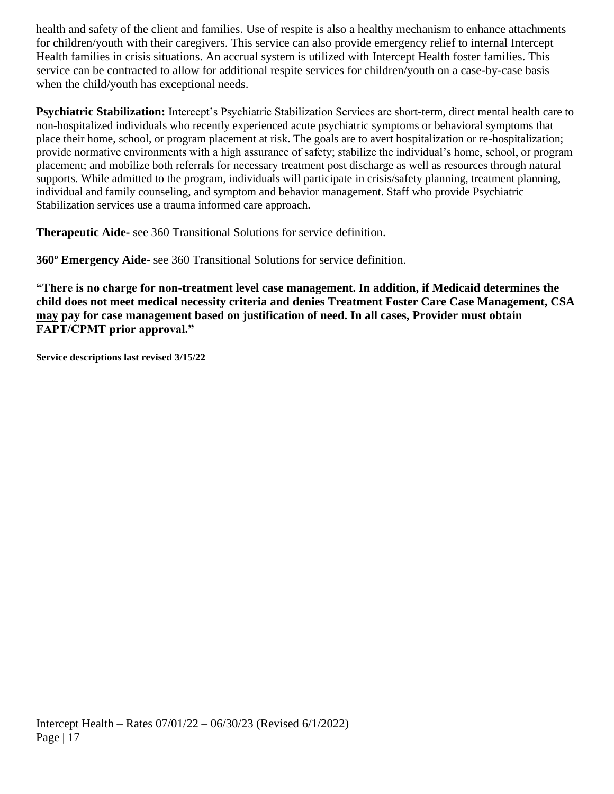health and safety of the client and families. Use of respite is also a healthy mechanism to enhance attachments for children/youth with their caregivers. This service can also provide emergency relief to internal Intercept Health families in crisis situations. An accrual system is utilized with Intercept Health foster families. This service can be contracted to allow for additional respite services for children/youth on a case-by-case basis when the child/youth has exceptional needs.

**Psychiatric Stabilization:** Intercept's Psychiatric Stabilization Services are short-term, direct mental health care to non-hospitalized individuals who recently experienced acute psychiatric symptoms or behavioral symptoms that place their home, school, or program placement at risk. The goals are to avert hospitalization or re-hospitalization; provide normative environments with a high assurance of safety; stabilize the individual's home, school, or program placement; and mobilize both referrals for necessary treatment post discharge as well as resources through natural supports. While admitted to the program, individuals will participate in crisis/safety planning, treatment planning, individual and family counseling, and symptom and behavior management. Staff who provide Psychiatric Stabilization services use a trauma informed care approach.

**Therapeutic Aide-** see 360 Transitional Solutions for service definition.

**360º Emergency Aide**- see 360 Transitional Solutions for service definition.

**"There is no charge for non-treatment level case management. In addition, if Medicaid determines the child does not meet medical necessity criteria and denies Treatment Foster Care Case Management, CSA may pay for case management based on justification of need. In all cases, Provider must obtain FAPT/CPMT prior approval."**

**Service descriptions last revised 3/15/22**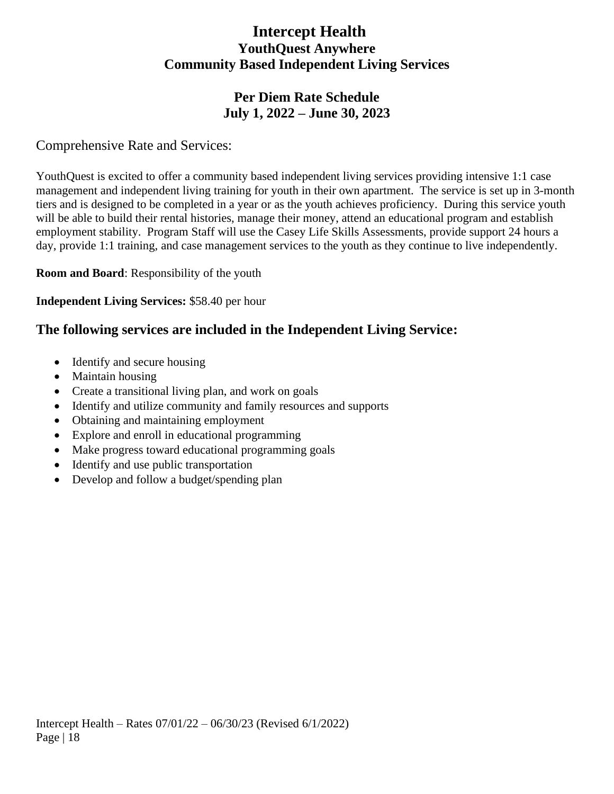# **Intercept Health YouthQuest Anywhere Community Based Independent Living Services**

# **Per Diem Rate Schedule July 1, 2022 – June 30, 2023**

# Comprehensive Rate and Services:

YouthQuest is excited to offer a community based independent living services providing intensive 1:1 case management and independent living training for youth in their own apartment. The service is set up in 3-month tiers and is designed to be completed in a year or as the youth achieves proficiency. During this service youth will be able to build their rental histories, manage their money, attend an educational program and establish employment stability. Program Staff will use the Casey Life Skills Assessments, provide support 24 hours a day, provide 1:1 training, and case management services to the youth as they continue to live independently.

**Room and Board**: Responsibility of the youth

**Independent Living Services:** \$58.40 per hour

# **The following services are included in the Independent Living Service:**

- Identify and secure housing
- Maintain housing
- Create a transitional living plan, and work on goals
- Identify and utilize community and family resources and supports
- Obtaining and maintaining employment
- Explore and enroll in educational programming
- Make progress toward educational programming goals
- Identify and use public transportation
- Develop and follow a budget/spending plan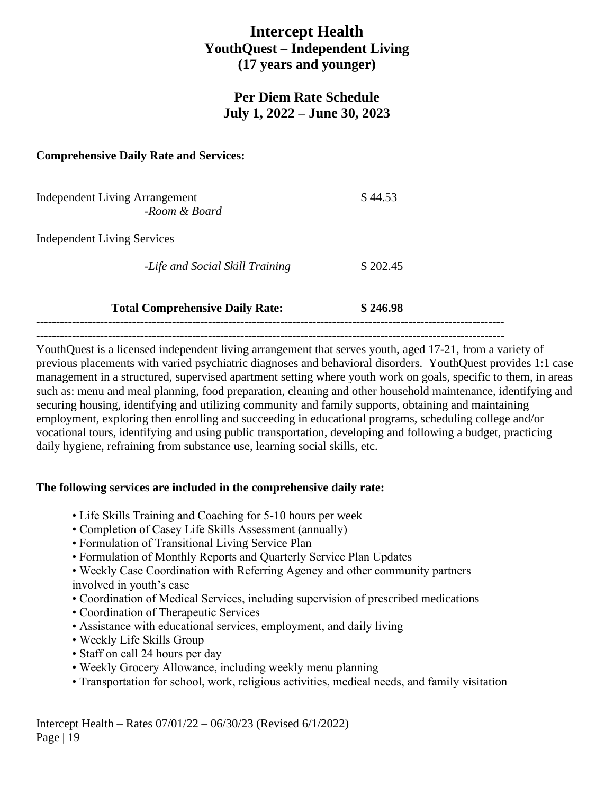# **Intercept Health YouthQuest – Independent Living (17 years and younger)**

## **Per Diem Rate Schedule July 1, 2022 – June 30, 2023**

#### **Comprehensive Daily Rate and Services:**

| <b>Independent Living Arrangement</b><br>-Room & Board | \$44.53  |
|--------------------------------------------------------|----------|
| <b>Independent Living Services</b>                     |          |
| -Life and Social Skill Training                        | \$202.45 |
| <b>Total Comprehensive Daily Rate:</b>                 | \$246.98 |

**---------------------------------------------------------------------------------------------------------------------**

**---------------------------------------------------------------------------------------------------------------------**

YouthQuest is a licensed independent living arrangement that serves youth, aged 17-21, from a variety of previous placements with varied psychiatric diagnoses and behavioral disorders. YouthQuest provides 1:1 case management in a structured, supervised apartment setting where youth work on goals, specific to them, in areas such as: menu and meal planning, food preparation, cleaning and other household maintenance, identifying and securing housing, identifying and utilizing community and family supports, obtaining and maintaining employment, exploring then enrolling and succeeding in educational programs, scheduling college and/or vocational tours, identifying and using public transportation, developing and following a budget, practicing daily hygiene, refraining from substance use, learning social skills, etc.

#### **The following services are included in the comprehensive daily rate:**

- Life Skills Training and Coaching for 5-10 hours per week
- Completion of Casey Life Skills Assessment (annually)
- Formulation of Transitional Living Service Plan
- Formulation of Monthly Reports and Quarterly Service Plan Updates

• Weekly Case Coordination with Referring Agency and other community partners involved in youth's case

- Coordination of Medical Services, including supervision of prescribed medications
- Coordination of Therapeutic Services
- Assistance with educational services, employment, and daily living
- Weekly Life Skills Group
- Staff on call 24 hours per day
- Weekly Grocery Allowance, including weekly menu planning
- Transportation for school, work, religious activities, medical needs, and family visitation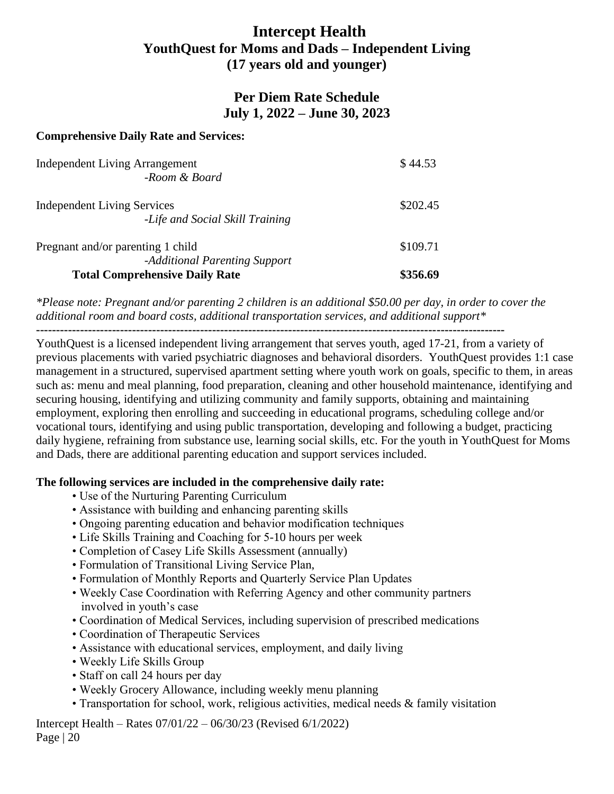# **Intercept Health YouthQuest for Moms and Dads – Independent Living (17 years old and younger)**

### **Per Diem Rate Schedule July 1, 2022 – June 30, 2023**

#### **Comprehensive Daily Rate and Services:**

| <b>Independent Living Arrangement</b><br>-Room & Board                | \$44.53  |
|-----------------------------------------------------------------------|----------|
| <b>Independent Living Services</b><br>-Life and Social Skill Training | \$202.45 |
| Pregnant and/or parenting 1 child<br>-Additional Parenting Support    | \$109.71 |
| <b>Total Comprehensive Daily Rate</b>                                 | \$356.69 |

*\*Please note: Pregnant and/or parenting 2 children is an additional \$50.00 per day, in order to cover the additional room and board costs, additional transportation services, and additional support\**

**---------------------------------------------------------------------------------------------------------------------**

YouthQuest is a licensed independent living arrangement that serves youth, aged 17-21, from a variety of previous placements with varied psychiatric diagnoses and behavioral disorders. YouthQuest provides 1:1 case management in a structured, supervised apartment setting where youth work on goals, specific to them, in areas such as: menu and meal planning, food preparation, cleaning and other household maintenance, identifying and securing housing, identifying and utilizing community and family supports, obtaining and maintaining employment, exploring then enrolling and succeeding in educational programs, scheduling college and/or vocational tours, identifying and using public transportation, developing and following a budget, practicing daily hygiene, refraining from substance use, learning social skills, etc. For the youth in YouthQuest for Moms and Dads, there are additional parenting education and support services included.

#### **The following services are included in the comprehensive daily rate:**

- Use of the Nurturing Parenting Curriculum
- Assistance with building and enhancing parenting skills
- Ongoing parenting education and behavior modification techniques
- Life Skills Training and Coaching for 5-10 hours per week
- Completion of Casey Life Skills Assessment (annually)
- Formulation of Transitional Living Service Plan,
- Formulation of Monthly Reports and Quarterly Service Plan Updates
- Weekly Case Coordination with Referring Agency and other community partners involved in youth's case
- Coordination of Medical Services, including supervision of prescribed medications
- Coordination of Therapeutic Services
- Assistance with educational services, employment, and daily living
- Weekly Life Skills Group
- Staff on call 24 hours per day
- Weekly Grocery Allowance, including weekly menu planning
- Transportation for school, work, religious activities, medical needs & family visitation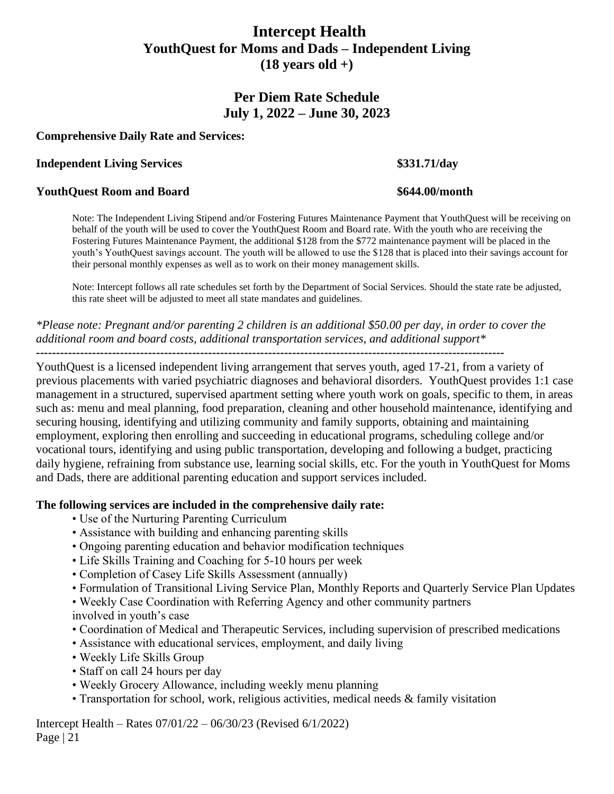# **Intercept Health YouthQuest for Moms and Dads – Independent Living (18 years old +)**

### **Per Diem Rate Schedule July 1, 2022 – June 30, 2023**

#### **Comprehensive Daily Rate and Services:**

#### **Independent Living Services \$331.71/day**

#### **YouthQuest Room and Board \$644.00/month**

Note: The Independent Living Stipend and/or Fostering Futures Maintenance Payment that YouthQuest will be receiving on behalf of the youth will be used to cover the YouthQuest Room and Board rate. With the youth who are receiving the Fostering Futures Maintenance Payment, the additional \$128 from the \$772 maintenance payment will be placed in the youth's YouthQuest savings account. The youth will be allowed to use the \$128 that is placed into their savings account for their personal monthly expenses as well as to work on their money management skills.

Note: Intercept follows all rate schedules set forth by the Department of Social Services. Should the state rate be adjusted, this rate sheet will be adjusted to meet all state mandates and guidelines.

*\*Please note: Pregnant and/or parenting 2 children is an additional \$50.00 per day, in order to cover the additional room and board costs, additional transportation services, and additional support\**

**---------------------------------------------------------------------------------------------------------------------**

YouthQuest is a licensed independent living arrangement that serves youth, aged 17-21, from a variety of previous placements with varied psychiatric diagnoses and behavioral disorders. YouthQuest provides 1:1 case management in a structured, supervised apartment setting where youth work on goals, specific to them, in areas such as: menu and meal planning, food preparation, cleaning and other household maintenance, identifying and securing housing, identifying and utilizing community and family supports, obtaining and maintaining employment, exploring then enrolling and succeeding in educational programs, scheduling college and/or vocational tours, identifying and using public transportation, developing and following a budget, practicing daily hygiene, refraining from substance use, learning social skills, etc. For the youth in YouthQuest for Moms and Dads, there are additional parenting education and support services included.

#### **The following services are included in the comprehensive daily rate:**

- Use of the Nurturing Parenting Curriculum
- Assistance with building and enhancing parenting skills
- Ongoing parenting education and behavior modification techniques
- Life Skills Training and Coaching for 5-10 hours per week
- Completion of Casey Life Skills Assessment (annually)
- Formulation of Transitional Living Service Plan, Monthly Reports and Quarterly Service Plan Updates
- Weekly Case Coordination with Referring Agency and other community partners involved in youth's case
- Coordination of Medical and Therapeutic Services, including supervision of prescribed medications
- Assistance with educational services, employment, and daily living
- Weekly Life Skills Group
- Staff on call 24 hours per day
- Weekly Grocery Allowance, including weekly menu planning
- Transportation for school, work, religious activities, medical needs & family visitation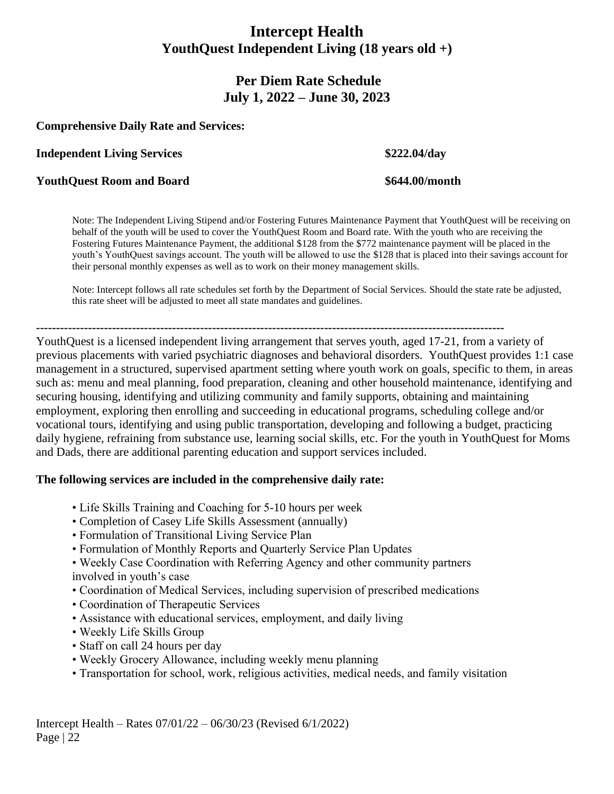# **Intercept Health YouthQuest Independent Living (18 years old +)**

# **Per Diem Rate Schedule July 1, 2022 – June 30, 2023**

#### **Comprehensive Daily Rate and Services:**

**Independent Living Services \$222.04/day**

#### **YouthQuest Room and Board \$644.00/month**

Note: The Independent Living Stipend and/or Fostering Futures Maintenance Payment that YouthQuest will be receiving on behalf of the youth will be used to cover the YouthQuest Room and Board rate. With the youth who are receiving the Fostering Futures Maintenance Payment, the additional \$128 from the \$772 maintenance payment will be placed in the youth's YouthQuest savings account. The youth will be allowed to use the \$128 that is placed into their savings account for their personal monthly expenses as well as to work on their money management skills.

Note: Intercept follows all rate schedules set forth by the Department of Social Services. Should the state rate be adjusted, this rate sheet will be adjusted to meet all state mandates and guidelines.

**---------------------------------------------------------------------------------------------------------------------**

YouthQuest is a licensed independent living arrangement that serves youth, aged 17-21, from a variety of previous placements with varied psychiatric diagnoses and behavioral disorders. YouthQuest provides 1:1 case management in a structured, supervised apartment setting where youth work on goals, specific to them, in areas such as: menu and meal planning, food preparation, cleaning and other household maintenance, identifying and securing housing, identifying and utilizing community and family supports, obtaining and maintaining employment, exploring then enrolling and succeeding in educational programs, scheduling college and/or vocational tours, identifying and using public transportation, developing and following a budget, practicing daily hygiene, refraining from substance use, learning social skills, etc. For the youth in YouthQuest for Moms and Dads, there are additional parenting education and support services included.

#### **The following services are included in the comprehensive daily rate:**

- Life Skills Training and Coaching for 5-10 hours per week
- Completion of Casey Life Skills Assessment (annually)
- Formulation of Transitional Living Service Plan
- Formulation of Monthly Reports and Quarterly Service Plan Updates

• Weekly Case Coordination with Referring Agency and other community partners involved in youth's case

- Coordination of Medical Services, including supervision of prescribed medications
- Coordination of Therapeutic Services
- Assistance with educational services, employment, and daily living
- Weekly Life Skills Group
- Staff on call 24 hours per day
- Weekly Grocery Allowance, including weekly menu planning
- Transportation for school, work, religious activities, medical needs, and family visitation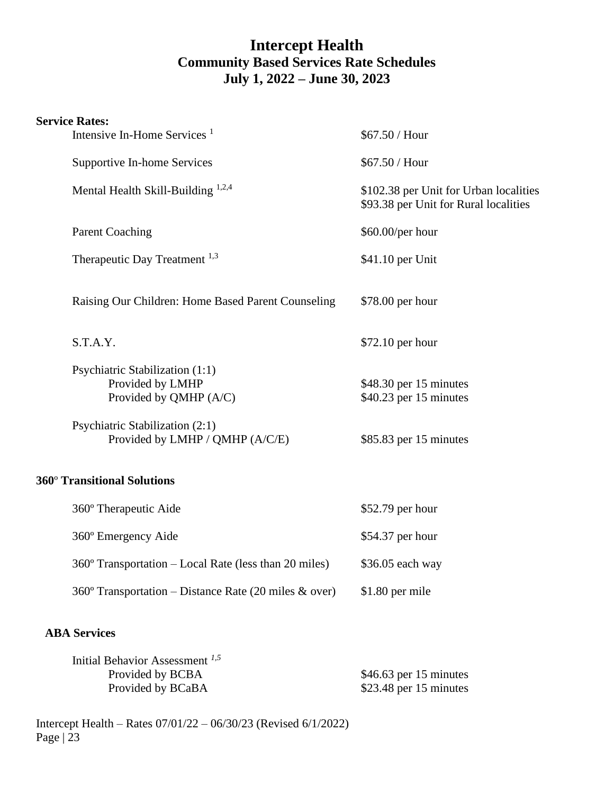# **Intercept Health Community Based Services Rate Schedules July 1, 2022 – June 30, 2023**

#### **Service Rates:**

|                     | Intensive In-Home Services <sup>1</sup>                                       | \$67.50 / Hour                                                                  |  |
|---------------------|-------------------------------------------------------------------------------|---------------------------------------------------------------------------------|--|
|                     | Supportive In-home Services                                                   | \$67.50 / Hour                                                                  |  |
|                     | Mental Health Skill-Building <sup>1,2,4</sup>                                 | \$102.38 per Unit for Urban localities<br>\$93.38 per Unit for Rural localities |  |
|                     | <b>Parent Coaching</b>                                                        | \$60.00/per hour                                                                |  |
|                     | Therapeutic Day Treatment <sup>1,3</sup>                                      | \$41.10 per Unit                                                                |  |
|                     | Raising Our Children: Home Based Parent Counseling                            | \$78.00 per hour                                                                |  |
|                     | S.T.A.Y.                                                                      | \$72.10 per hour                                                                |  |
|                     | Psychiatric Stabilization (1:1)<br>Provided by LMHP<br>Provided by QMHP (A/C) | \$48.30 per 15 minutes<br>\$40.23 per 15 minutes                                |  |
|                     | Psychiatric Stabilization (2:1)<br>Provided by LMHP / QMHP (A/C/E)            | \$85.83 per 15 minutes                                                          |  |
|                     | 360° Transitional Solutions                                                   |                                                                                 |  |
|                     | 360° Therapeutic Aide                                                         | \$52.79 per hour                                                                |  |
|                     | 360° Emergency Aide                                                           | \$54.37 per hour                                                                |  |
|                     | 360° Transportation – Local Rate (less than 20 miles)                         | \$36.05 each way                                                                |  |
|                     | 360° Transportation – Distance Rate (20 miles $\&$ over)                      | \$1.80 per mile                                                                 |  |
| <b>ABA Services</b> |                                                                               |                                                                                 |  |
|                     | Initial Behavior Assessment <sup>1,5</sup><br>Provided by BCBA                | \$46.63 per 15 minutes                                                          |  |

Provided by BCaBA \$23.48 per 15 minutes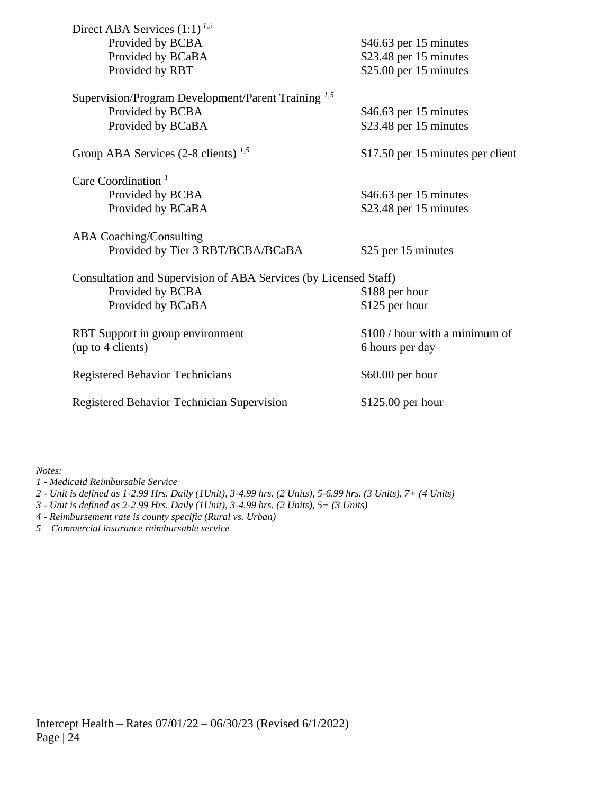| Direct ABA Services $(1:1)^{1,5}$                                |                                   |
|------------------------------------------------------------------|-----------------------------------|
| Provided by BCBA                                                 | \$46.63 per 15 minutes            |
| Provided by BCaBA                                                | \$23.48 per 15 minutes            |
| Provided by RBT                                                  | $$25.00$ per 15 minutes           |
|                                                                  |                                   |
| Supervision/Program Development/Parent Training <sup>1,5</sup>   |                                   |
| Provided by BCBA                                                 | $$46.63$ per 15 minutes           |
| Provided by BCaBA                                                | \$23.48 per 15 minutes            |
|                                                                  |                                   |
| Group ABA Services $(2-8 \text{ clients})^{1,5}$                 | \$17.50 per 15 minutes per client |
|                                                                  |                                   |
| Care Coordination <sup>1</sup>                                   |                                   |
| Provided by BCBA                                                 | $$46.63$ per 15 minutes           |
| Provided by BCaBA                                                | $$23.48$ per 15 minutes           |
|                                                                  |                                   |
|                                                                  |                                   |
| <b>ABA Coaching/Consulting</b>                                   |                                   |
| Provided by Tier 3 RBT/BCBA/BCaBA                                | \$25 per 15 minutes               |
|                                                                  |                                   |
| Consultation and Supervision of ABA Services (by Licensed Staff) |                                   |
| Provided by BCBA                                                 | \$188 per hour                    |
| Provided by BCaBA                                                | \$125 per hour                    |
|                                                                  |                                   |
| RBT Support in group environment                                 | \$100 / hour with a minimum of    |
| (up to 4 clients)                                                | 6 hours per day                   |
|                                                                  |                                   |
| <b>Registered Behavior Technicians</b>                           | \$60.00 per hour                  |
| Registered Behavior Technician Supervision                       |                                   |
|                                                                  | \$125.00 per hour                 |

*Notes:*

*1 - Medicaid Reimbursable Service*

*2 - Unit is defined as 1-2.99 Hrs. Daily (1Unit), 3-4.99 hrs. (2 Units), 5-6.99 hrs. (3 Units), 7+ (4 Units)*

*3 - Unit is defined as 2-2.99 Hrs. Daily (1Unit), 3-4.99 hrs. (2 Units), 5+ (3 Units)*

*4 - Reimbursement rate is county specific (Rural vs. Urban)*

*5 – Commercial insurance reimbursable service*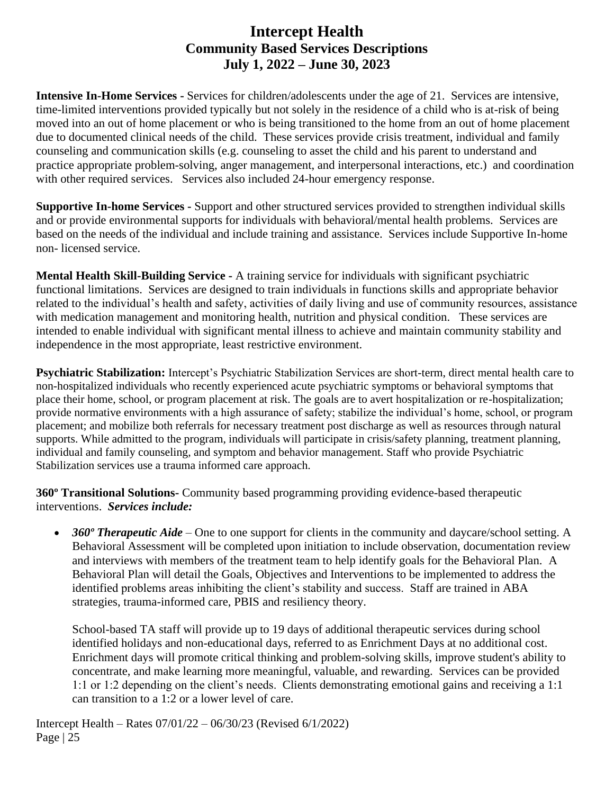# **Intercept Health Community Based Services Descriptions July 1, 2022 – June 30, 2023**

**Intensive In-Home Services -** Services for children/adolescents under the age of 21. Services are intensive, time-limited interventions provided typically but not solely in the residence of a child who is at-risk of being moved into an out of home placement or who is being transitioned to the home from an out of home placement due to documented clinical needs of the child. These services provide crisis treatment, individual and family counseling and communication skills (e.g. counseling to asset the child and his parent to understand and practice appropriate problem-solving, anger management, and interpersonal interactions, etc.) and coordination with other required services. Services also included 24-hour emergency response.

**Supportive In-home Services -** Support and other structured services provided to strengthen individual skills and or provide environmental supports for individuals with behavioral/mental health problems. Services are based on the needs of the individual and include training and assistance. Services include Supportive In-home non- licensed service.

**Mental Health Skill-Building Service -** A training service for individuals with significant psychiatric functional limitations. Services are designed to train individuals in functions skills and appropriate behavior related to the individual's health and safety, activities of daily living and use of community resources, assistance with medication management and monitoring health, nutrition and physical condition. These services are intended to enable individual with significant mental illness to achieve and maintain community stability and independence in the most appropriate, least restrictive environment.

**Psychiatric Stabilization:** Intercept's Psychiatric Stabilization Services are short-term, direct mental health care to non-hospitalized individuals who recently experienced acute psychiatric symptoms or behavioral symptoms that place their home, school, or program placement at risk. The goals are to avert hospitalization or re-hospitalization; provide normative environments with a high assurance of safety; stabilize the individual's home, school, or program placement; and mobilize both referrals for necessary treatment post discharge as well as resources through natural supports. While admitted to the program, individuals will participate in crisis/safety planning, treatment planning, individual and family counseling, and symptom and behavior management. Staff who provide Psychiatric Stabilization services use a trauma informed care approach.

**360º Transitional Solutions-** Community based programming providing evidence-based therapeutic interventions. *Services include:* 

• *360° Therapeutic Aide* – One to one support for clients in the community and daycare/school setting. A Behavioral Assessment will be completed upon initiation to include observation, documentation review and interviews with members of the treatment team to help identify goals for the Behavioral Plan. A Behavioral Plan will detail the Goals, Objectives and Interventions to be implemented to address the identified problems areas inhibiting the client's stability and success. Staff are trained in ABA strategies, trauma-informed care, PBIS and resiliency theory.

School-based TA staff will provide up to 19 days of additional therapeutic services during school identified holidays and non-educational days, referred to as Enrichment Days at no additional cost. Enrichment days will promote critical thinking and problem-solving skills, improve student's ability to concentrate, and make learning more meaningful, valuable, and rewarding. Services can be provided 1:1 or 1:2 depending on the client's needs. Clients demonstrating emotional gains and receiving a 1:1 can transition to a 1:2 or a lower level of care.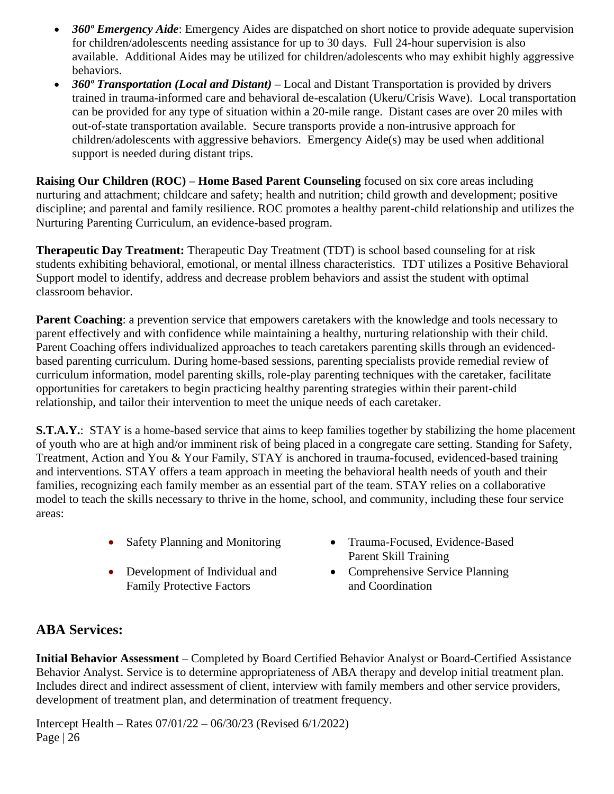- *360º Emergency Aide*: Emergency Aides are dispatched on short notice to provide adequate supervision for children/adolescents needing assistance for up to 30 days. Full 24-hour supervision is also available. Additional Aides may be utilized for children/adolescents who may exhibit highly aggressive behaviors.
- *360º Transportation (Local and Distant) –* Local and Distant Transportation is provided by drivers trained in trauma-informed care and behavioral de-escalation (Ukeru/Crisis Wave). Local transportation can be provided for any type of situation within a 20-mile range. Distant cases are over 20 miles with out-of-state transportation available. Secure transports provide a non-intrusive approach for children/adolescents with aggressive behaviors. Emergency Aide(s) may be used when additional support is needed during distant trips.

**Raising Our Children (ROC) – Home Based Parent Counseling** focused on six core areas including nurturing and attachment; childcare and safety; health and nutrition; child growth and development; positive discipline; and parental and family resilience. ROC promotes a healthy parent-child relationship and utilizes the Nurturing Parenting Curriculum, an evidence-based program.

**Therapeutic Day Treatment:** Therapeutic Day Treatment (TDT) is school based counseling for at risk students exhibiting behavioral, emotional, or mental illness characteristics. TDT utilizes a Positive Behavioral Support model to identify, address and decrease problem behaviors and assist the student with optimal classroom behavior.

**Parent Coaching**: a prevention service that empowers caretakers with the knowledge and tools necessary to parent effectively and with confidence while maintaining a healthy, nurturing relationship with their child. Parent Coaching offers individualized approaches to teach caretakers parenting skills through an evidencedbased parenting curriculum. During home-based sessions, parenting specialists provide remedial review of curriculum information, model parenting skills, role-play parenting techniques with the caretaker, facilitate opportunities for caretakers to begin practicing healthy parenting strategies within their parent-child relationship, and tailor their intervention to meet the unique needs of each caretaker.

**S.T.A.Y.:** STAY is a home-based service that aims to keep families together by stabilizing the home placement of youth who are at high and/or imminent risk of being placed in a congregate care setting. Standing for Safety, Treatment, Action and You & Your Family, STAY is anchored in trauma-focused, evidenced-based training and interventions. STAY offers a team approach in meeting the behavioral health needs of youth and their families, recognizing each family member as an essential part of the team. STAY relies on a collaborative model to teach the skills necessary to thrive in the home, school, and community, including these four service areas:

- 
- Development of Individual and Family Protective Factors
- Safety Planning and Monitoring Trauma-Focused, Evidence-Based Parent Skill Training
	- Comprehensive Service Planning and Coordination

# **ABA Services:**

**Initial Behavior Assessment** – Completed by Board Certified Behavior Analyst or Board-Certified Assistance Behavior Analyst. Service is to determine appropriateness of ABA therapy and develop initial treatment plan. Includes direct and indirect assessment of client, interview with family members and other service providers, development of treatment plan, and determination of treatment frequency.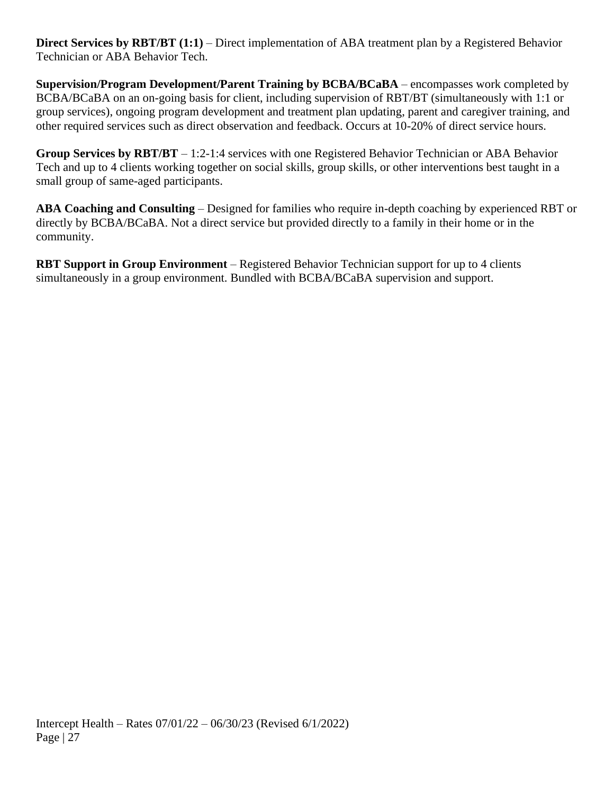**Direct Services by RBT/BT (1:1)** – Direct implementation of ABA treatment plan by a Registered Behavior Technician or ABA Behavior Tech.

**Supervision/Program Development/Parent Training by BCBA/BCaBA** – encompasses work completed by BCBA/BCaBA on an on-going basis for client, including supervision of RBT/BT (simultaneously with 1:1 or group services), ongoing program development and treatment plan updating, parent and caregiver training, and other required services such as direct observation and feedback. Occurs at 10-20% of direct service hours.

**Group Services by RBT/BT** – 1:2-1:4 services with one Registered Behavior Technician or ABA Behavior Tech and up to 4 clients working together on social skills, group skills, or other interventions best taught in a small group of same-aged participants.

**ABA Coaching and Consulting** – Designed for families who require in-depth coaching by experienced RBT or directly by BCBA/BCaBA. Not a direct service but provided directly to a family in their home or in the community.

**RBT Support in Group Environment** – Registered Behavior Technician support for up to 4 clients simultaneously in a group environment. Bundled with BCBA/BCaBA supervision and support.